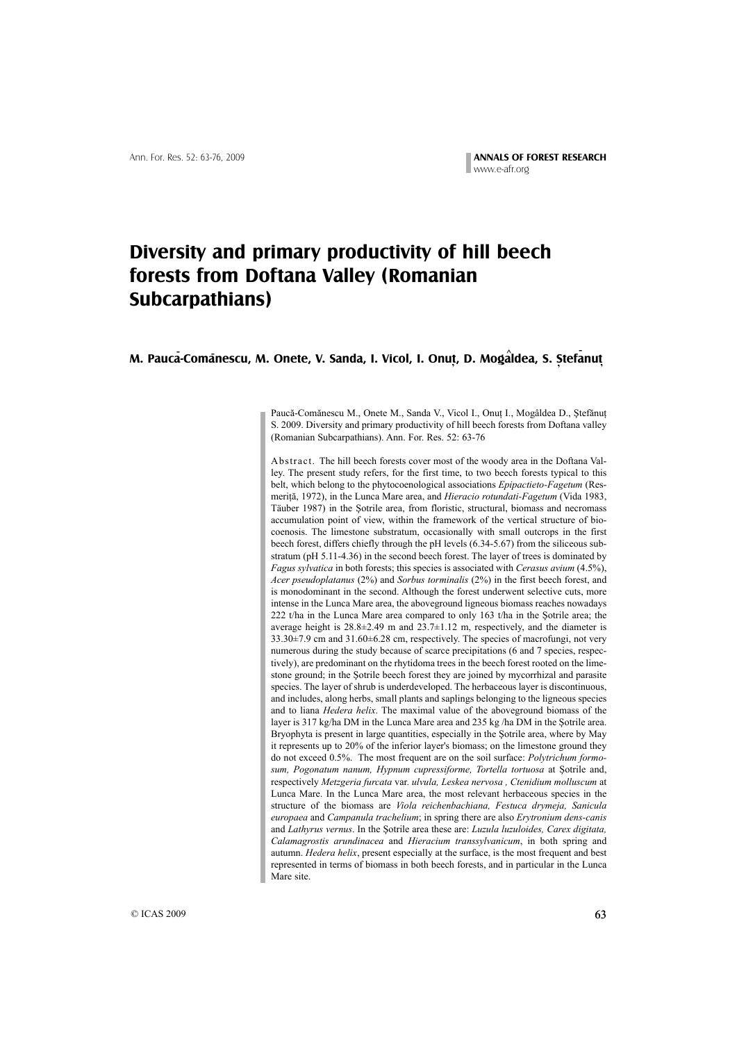# **Diversity and primary productivity of hill beech forests from Doftana Valley (Romanian Subcarpathians)**

# **M. Pauca-Comanescu, M. Onete, V. Sanda, I. Vicol, I. Onut, D. Mogaldea, S. Stefanut - - - ^ , , ,**

Paucă-Comănescu M., Onete M., Sanda V., Vicol I., Onuț I., Mogâldea D., Ștefănuț S. 2009. Diversity and primary productivity of hill beech forests from Doftana valley (Romanian Subcarpathians). Ann. For. Res. 52: 63-76

Abstract. The hill beech forests cover most of the woody area in the Doftana Valley. The present study refers, for the first time, to two beech forests typical to this belt, which belong to the phytocoenological associations *Epipactieto-Fagetum* (Resmerită, 1972), in the Lunca Mare area, and *Hieracio rotundati-Fagetum* (Vida 1983, Täuber 1987) in the Şotrile area, from floristic, structural, biomass and necromass accumulation point of view, within the framework of the vertical structure of biocoenosis. The limestone substratum, occasionally with small outcrops in the first beech forest, differs chiefly through the pH levels (6.34-5.67) from the siliceous substratum (pH 5.11-4.36) in the second beech forest. The layer of trees is dominated by *Fagus sylvatica* in both forests; this species is associated with *Cerasus avium* (4.5%), *Acer pseudoplatanus* (2%) and *Sorbus torminalis* (2%) in the first beech forest, and is monodominant in the second. Although the forest underwent selective cuts, more intense in the Lunca Mare area, the aboveground ligneous biomass reaches nowadays 222 t/ha in the Lunca Mare area compared to only 163 t/ha in the Sotrile area; the average height is  $28.8\pm 2.49$  m and  $23.7\pm 1.12$  m, respectively, and the diameter is 33.30±7.9 cm and 31.60±6.28 cm, respectively. The species of macrofungi, not very numerous during the study because of scarce precipitations (6 and 7 species, respectively), are predominant on the rhytidoma trees in the beech forest rooted on the limestone ground; in the Sotrile beech forest they are joined by mycorrhizal and parasite species. The layer of shrub is underdeveloped. The herbaceous layer is discontinuous, and includes, along herbs, small plants and saplings belonging to the ligneous species and to liana *Hedera helix*. The maximal value of the aboveground biomass of the layer is  $317 \text{ kg/ha DM}$  in the Lunca Mare area and  $235 \text{ kg/ha DM}$  in the Sotrile area. Bryophyta is present in large quantities, especially in the Sotrile area, where by May it represents up to 20% of the inferior layer's biomass; on the limestone ground they do not exceed 0.5%. The most frequent are on the soil surface: *Polytrichum formo*sum, Pogonatum nanum, Hypnum cupressiforme, Tortella tortuosa at Sotrile and, respectively *Metzgeria furcata* var. *ulvula, Leskea nervosa , Ctenidium molluscum* at Lunca Mare. In the Lunca Mare area, the most relevant herbaceous species in the structure of the biomass are *Viola reichenbachiana, Festuca drymeja, Sanicula europaea* and *Campanula trachelium*; in spring there are also *Erytronium dens-canis* and *Lathyrus vernus*. In the Sotrile area these are: *Luzula luzuloides, Carex digitata*, *Calamagrostis arundinacea* and *Hieracium transsylvanicum*, in both spring and autumn. *Hedera helix*, present especially at the surface, is the most frequent and best represented in terms of biomass in both beech forests, and in particular in the Lunca Mare site.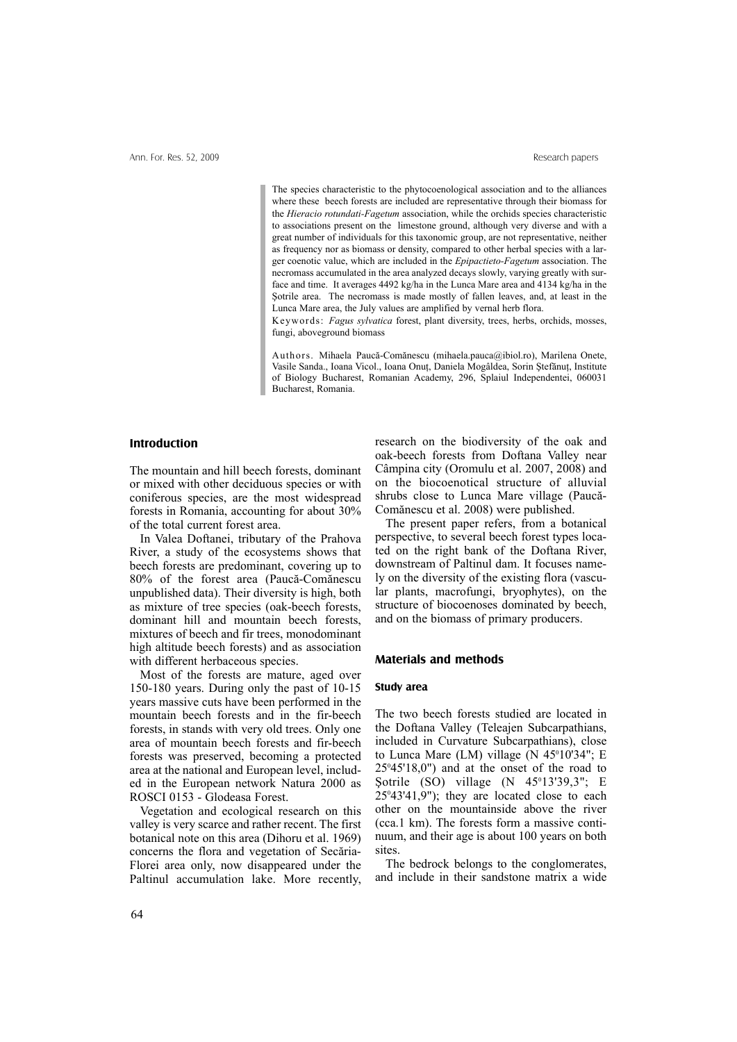The species characteristic to the phytocoenological association and to the alliances where these beech forests are included are representative through their biomass for the *Hieracio rotundati-Fagetum* association, while the orchids species characteristic to associations present on the limestone ground, although very diverse and with a great number of individuals for this taxonomic group, are not representative, neither as frequency nor as biomass or density, compared to other herbal species with a larger coenotic value, which are included in the *Epipactieto-Fagetum* association. The necromass accumulated in the area analyzed decays slowly, varying greatly with surface and time. It averages 4492 kg/ha in the Lunca Mare area and 4134 kg/ha in the Sotrile area. The necromass is made mostly of fallen leaves, and, at least in the Lunca Mare area, the July values are amplified by vernal herb flora.

Keywords: *Fagus sylvatica* forest, plant diversity, trees, herbs, orchids, mosses, fungi, aboveground biomass

Authors. Mihaela Paucã-Comãnescu (mihaela.pauca@ibiol.ro), Marilena Onete, Vasile Sanda., Ioana Vicol., Ioana Onuț, Daniela Mogâldea, Sorin Ștefănuț, Institute of Biology Bucharest, Romanian Academy, 296, Splaiul Independentei, 060031 Bucharest, Romania.

#### **Introduction**

The mountain and hill beech forests, dominant or mixed with other deciduous species or with coniferous species, are the most widespread forests in Romania, accounting for about 30% of the total current forest area.

In Valea Doftanei, tributary of the Prahova River, a study of the ecosystems shows that beech forests are predominant, covering up to 80% of the forest area (Paucã-Comãnescu unpublished data). Their diversity is high, both as mixture of tree species (oak-beech forests, dominant hill and mountain beech forests, mixtures of beech and fir trees, monodominant high altitude beech forests) and as association with different herbaceous species.

Most of the forests are mature, aged over 150-180 years. During only the past of 10-15 years massive cuts have been performed in the mountain beech forests and in the fir-beech forests, in stands with very old trees. Only one area of mountain beech forests and fir-beech forests was preserved, becoming a protected area at the national and European level, included in the European network Natura 2000 as ROSCI 0153 - Glodeasa Forest.

Vegetation and ecological research on this valley is very scarce and rather recent. The first botanical note on this area (Dihoru et al. 1969) concerns the flora and vegetation of Secãria-Florei area only, now disappeared under the Paltinul accumulation lake. More recently, research on the biodiversity of the oak and oak-beech forests from Doftana Valley near Câmpina city (Oromulu et al. 2007, 2008) and on the biocoenotical structure of alluvial shrubs close to Lunca Mare village (Paucã-Comãnescu et al. 2008) were published.

The present paper refers, from a botanical perspective, to several beech forest types located on the right bank of the Doftana River, downstream of Paltinul dam. It focuses namely on the diversity of the existing flora (vascular plants, macrofungi, bryophytes), on the structure of biocoenoses dominated by beech, and on the biomass of primary producers.

### **Materials and methods**

#### **Study area**

The two beech forests studied are located in the Doftana Valley (Teleajen Subcarpathians, included in Curvature Subcarpathians), close to Lunca Mare  $(LM)$  village  $(N 45<sup>0</sup>10<sup>0</sup>34$ "; E  $25^{\circ}45'18,0''$ ) and at the onset of the road to Sotrile (SO) village  $(N \ 45^\circ 13' 39, 3"$ ; E  $25^{\circ}43'41,9"$ ; they are located close to each other on the mountainside above the river (cca.1 km). The forests form a massive continuum, and their age is about 100 years on both sites.

The bedrock belongs to the conglomerates, and include in their sandstone matrix a wide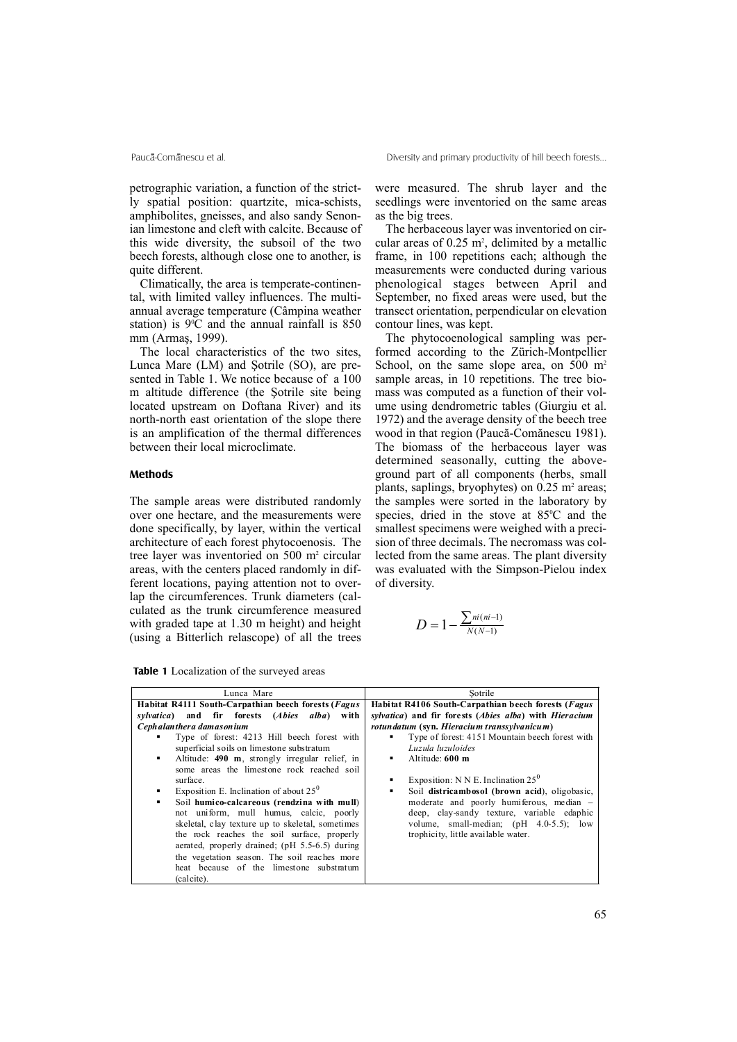petrographic variation, a function of the strictly spatial position: quartzite, mica-schists, amphibolites, gneisses, and also sandy Senonian limestone and cleft with calcite. Because of this wide diversity, the subsoil of the two beech forests, although close one to another, is quite different.

Climatically, the area is temperate-continental, with limited valley influences. The multiannual average temperature (Câmpina weather station) is  $9^{\circ}$ C and the annual rainfall is 850 mm (Armas, 1999).

The local characteristics of the two sites, Lunca Mare  $(LM)$  and Sotrile  $(SO)$ , are presented in Table 1. We notice because of a 100 m altitude difference (the Sotrile site being located upstream on Doftana River) and its north-north east orientation of the slope there is an amplification of the thermal differences between their local microclimate.

## **Methods**

The sample areas were distributed randomly over one hectare, and the measurements were done specifically, by layer, within the vertical architecture of each forest phytocoenosis. The tree layer was inventoried on 500 m<sup>2</sup> circular areas, with the centers placed randomly in different locations, paying attention not to overlap the circumferences. Trunk diameters (calculated as the trunk circumference measured with graded tape at 1.30 m height) and height (using a Bitterlich relascope) of all the trees

**Table 1** Localization of the surveyed areas

were measured. The shrub layer and the seedlings were inventoried on the same areas as the big trees.

The herbaceous layer was inventoried on circular areas of  $0.25 \text{ m}^2$ , delimited by a metallic frame, in 100 repetitions each; although the measurements were conducted during various phenological stages between April and September, no fixed areas were used, but the transect orientation, perpendicular on elevation contour lines, was kept.

The phytocoenological sampling was performed according to the Zürich-Montpellier School, on the same slope area, on  $500 \text{ m}^2$ sample areas, in 10 repetitions. The tree biomass was computed as a function of their volume using dendrometric tables (Giurgiu et al. 1972) and the average density of the beech tree wood in that region (Paucã-Comãnescu 1981). The biomass of the herbaceous layer was determined seasonally, cutting the aboveground part of all components (herbs, small plants, saplings, bryophytes) on  $0.25$  m<sup>2</sup> areas; the samples were sorted in the laboratory by species, dried in the stove at  $85^{\circ}$ C and the smallest specimens were weighed with a precision of three decimals. The necromass was collected from the same areas. The plant diversity was evaluated with the Simpson-Pielou index of diversity.

$$
D = 1 - \frac{\sum_{ni(n=1)}^{ni(n=1)} }{N(N-1)}
$$

| Lunca Mare                                                                                                                                                                                                                                                                                                                                                                                                                                                                                                                                                                                                               | Sotrile                                                                                                                                                                                                                                                                                                                                                                 |  |  |  |  |
|--------------------------------------------------------------------------------------------------------------------------------------------------------------------------------------------------------------------------------------------------------------------------------------------------------------------------------------------------------------------------------------------------------------------------------------------------------------------------------------------------------------------------------------------------------------------------------------------------------------------------|-------------------------------------------------------------------------------------------------------------------------------------------------------------------------------------------------------------------------------------------------------------------------------------------------------------------------------------------------------------------------|--|--|--|--|
| Habitat R4111 South-Carpathian beech forests (Fagus                                                                                                                                                                                                                                                                                                                                                                                                                                                                                                                                                                      | Habitat R4106 South-Carpathian beech forests (Fagus                                                                                                                                                                                                                                                                                                                     |  |  |  |  |
| sylvatica) and fir forests (Abies alba) with                                                                                                                                                                                                                                                                                                                                                                                                                                                                                                                                                                             | sylvatica) and fir forests (Abies alba) with Hieracium                                                                                                                                                                                                                                                                                                                  |  |  |  |  |
| Ceph alan ther a damas on ium                                                                                                                                                                                                                                                                                                                                                                                                                                                                                                                                                                                            | rotun datum (syn. Hieracium transsylvanicum)                                                                                                                                                                                                                                                                                                                            |  |  |  |  |
| Type of forest: 4213 Hill beech forest with<br>superficial soils on limestone substratum<br>Altitude: 490 m, strongly irregular relief, in<br>٠<br>some areas the limestone rock reached soil<br>surface.<br>Exposition E. Inclination of about $25^0$<br>٠<br>Soil humico-calcareous (rendzina with mull)<br>$\blacksquare$<br>not uniform, mull humus, calcic, poorly<br>skeletal, clay texture up to skeletal, sometimes<br>the rock reaches the soil surface, properly<br>aerated, properly drained; (pH 5.5-6.5) during<br>the vegetation season. The soil reaches more<br>heat because of the limestone substratum | Type of forest: 4151 Mountain beech forest with<br>Luzula luzuloides<br>Altitude: 600 m<br>٠<br>Exposition: N N E. Inclination $25^0$<br>Soil districambosol (brown acid), oligobasic,<br>٠<br>moderate and poorly humiferous, median -<br>deep, clay-sandy texture, variable edaphic<br>volume, small-median; (pH 4.0-5.5); low<br>trophicity, little available water. |  |  |  |  |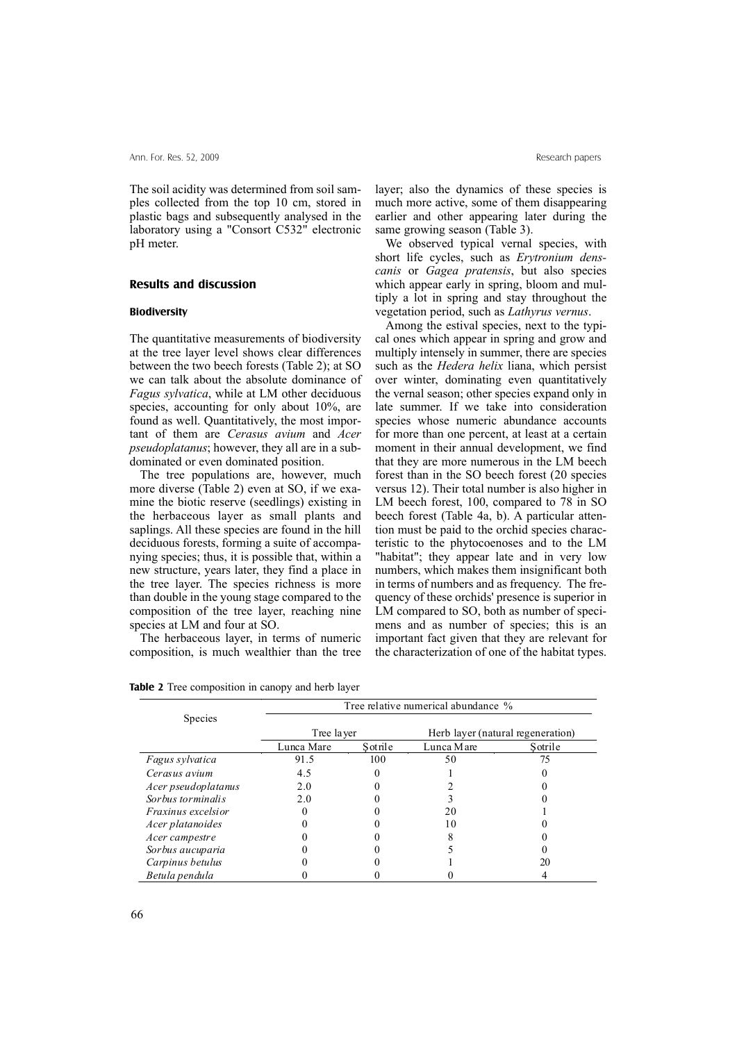The soil acidity was determined from soil samples collected from the top 10 cm, stored in plastic bags and subsequently analysed in the laboratory using a "Consort C532" electronic pH meter.

## **Results and discussion**

#### **Biodiversity**

The quantitative measurements of biodiversity at the tree layer level shows clear differences between the two beech forests (Table 2); at SO we can talk about the absolute dominance of *Fagus sylvatica*, while at LM other deciduous species, accounting for only about 10%, are found as well. Quantitatively, the most important of them are *Cerasus avium* and *Acer pseudoplatanus*; however, they all are in a subdominated or even dominated position.

The tree populations are, however, much more diverse (Table 2) even at SO, if we examine the biotic reserve (seedlings) existing in the herbaceous layer as small plants and saplings. All these species are found in the hill deciduous forests, forming a suite of accompanying species; thus, it is possible that, within a new structure, years later, they find a place in the tree layer. The species richness is more than double in the young stage compared to the composition of the tree layer, reaching nine species at LM and four at SO.

The herbaceous layer, in terms of numeric composition, is much wealthier than the tree

layer; also the dynamics of these species is much more active, some of them disappearing earlier and other appearing later during the same growing season (Table 3).

We observed typical vernal species, with short life cycles, such as *Erytronium denscanis* or *Gagea pratensis*, but also species which appear early in spring, bloom and multiply a lot in spring and stay throughout the vegetation period, such as *Lathyrus vernus*.

Among the estival species, next to the typical ones which appear in spring and grow and multiply intensely in summer, there are species such as the *Hedera helix* liana, which persist over winter, dominating even quantitatively the vernal season; other species expand only in late summer. If we take into consideration species whose numeric abundance accounts for more than one percent, at least at a certain moment in their annual development, we find that they are more numerous in the LM beech forest than in the SO beech forest (20 species versus 12). Their total number is also higher in LM beech forest, 100, compared to 78 in SO beech forest (Table 4a, b). A particular attention must be paid to the orchid species characteristic to the phytocoenoses and to the LM "habitat"; they appear late and in very low numbers, which makes them insignificant both in terms of numbers and as frequency. The frequency of these orchids' presence is superior in LM compared to SO, both as number of specimens and as number of species; this is an important fact given that they are relevant for the characterization of one of the habitat types.

| Tree relative numerical abundance % |                                   |
|-------------------------------------|-----------------------------------|
|                                     |                                   |
|                                     |                                   |
|                                     | Herb layer (natural regeneration) |
| Lunca Mare                          | Sotrile                           |
| 50                                  | 75                                |
|                                     |                                   |
|                                     |                                   |
|                                     |                                   |
| 20                                  |                                   |
| 10                                  |                                   |
|                                     |                                   |
|                                     |                                   |
|                                     |                                   |
|                                     | Sotrile<br>100                    |

*Betula pendula* 0 0 0 4

**Table 2** Tree composition in canopy and herb layer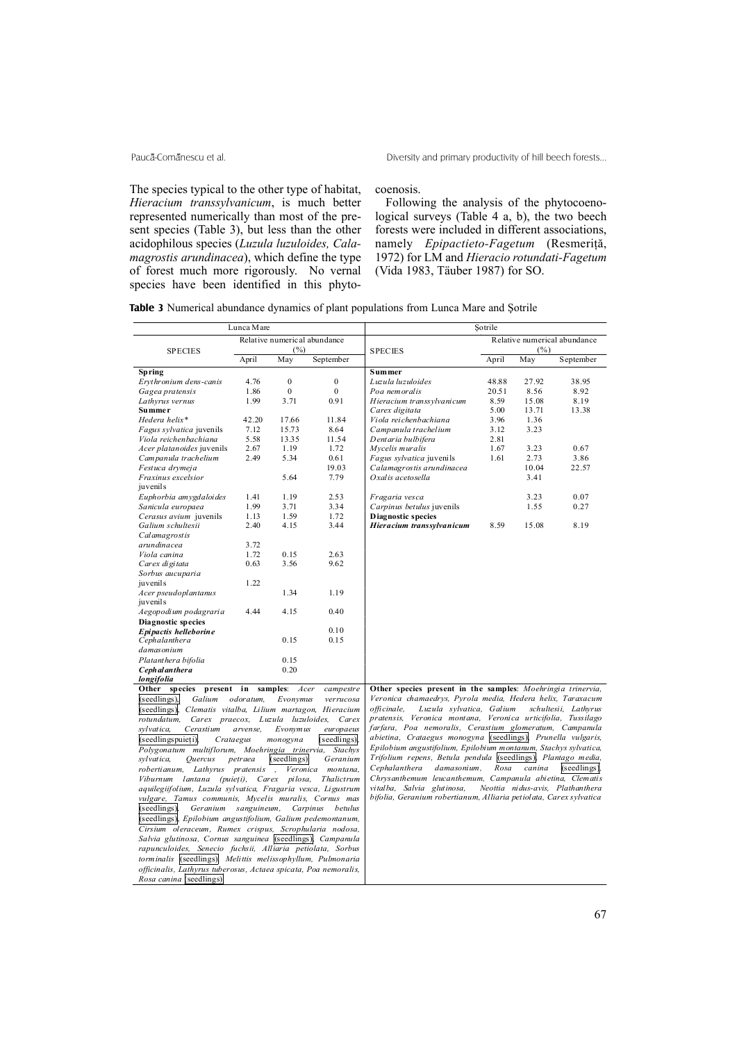The species typical to the other type of habitat, *Hieracium transsylvanicum*, is much better represented numerically than most of the present species (Table 3), but less than the other acidophilous species (*Luzula luzuloides, Calamagrostis arundinacea*), which define the type of forest much more rigorously. No vernal species have been identified in this phytocoenosis.

Following the analysis of the phytocoenological surveys (Table 4 a, b), the two beech forests were included in different associations, namely *Epipactieto-Fagetum* (Resmerită, 1972) for LM and *Hieracio rotundati-Fagetum* (Vida 1983, Täuber 1987) for SO.

| Table 3 Numerical abundance dynamics of plant populations from Lunca Mare and Sotrile |  |
|---------------------------------------------------------------------------------------|--|
|---------------------------------------------------------------------------------------|--|

|                                                                 | Lunca Mare |                  |                              | Sotrile                                                            |       |        |                                  |  |
|-----------------------------------------------------------------|------------|------------------|------------------------------|--------------------------------------------------------------------|-------|--------|----------------------------------|--|
| <b>SPECIES</b>                                                  |            | (%)              | Relative numerical abundance | <b>SPECIES</b>                                                     |       | (%)    | Relative numerical abundance     |  |
|                                                                 | April      | May              | September                    |                                                                    | April | May    | September                        |  |
| Spring                                                          |            |                  |                              | <b>Summer</b>                                                      |       |        |                                  |  |
| Erythronium dens-canis                                          | 4.76       | $\boldsymbol{0}$ | $\mathbf{0}$                 | Luzula luzuloides                                                  | 48.88 | 27.92  | 38.95                            |  |
| Gagea pratensis                                                 | 1.86       | $\boldsymbol{0}$ | $\mathbf{0}$                 | Poa nemoralis                                                      | 20.51 | 8.56   | 8.92                             |  |
| Lathyrus vernus                                                 | 1.99       | 3.71             | 0.91                         | Hieracium transsylvanicum                                          | 8.59  | 15.08  | 8.19                             |  |
| <b>Summer</b>                                                   |            |                  |                              | Carex digitata                                                     | 5.00  | 13.71  | 13.38                            |  |
| Hedera helix*                                                   | 42.20      | 17.66            | 11.84                        | Viola reichenbachiana                                              | 3.96  | 1.36   |                                  |  |
| Fagus sylvatica juvenils                                        | 7.12       | 15.73            | 8.64                         | Campanula trachelium                                               | 3.12  | 3.23   |                                  |  |
| Viola reichenbachiana                                           | 5.58       | 13.35            | 11.54                        | Dentaria bulbifera                                                 | 2.81  |        |                                  |  |
| Acer platanoides juvenils                                       | 2.67       | 1.19             | 1.72                         | Mycelis muralis                                                    | 1.67  | 3.23   | 0.67                             |  |
| Campanula trachelium                                            | 2.49       | 5.34             | 0.61                         | Fagus sylvatica juvenils                                           | 1.61  | 2.73   | 3.86                             |  |
| Festuca drymeja                                                 |            |                  | 19.03                        | Calamagrostis arundinacea                                          |       | 10.04  | 22.57                            |  |
| Fraxinus excelsior                                              |            | 5.64             | 7.79                         | Oxalis acetosella                                                  |       | 3.41   |                                  |  |
| juvenils                                                        |            |                  |                              |                                                                    |       |        |                                  |  |
| Euphorbia amygdaloides                                          | 1.41       | 1.19             | 2.53                         | Fragaria vesca                                                     |       | 3.23   | 0.07                             |  |
| Sanicula europaea                                               | 1.99       | 3.71             | 3.34                         | Carpinus betulus juvenils                                          |       | 1.55   | 0.27                             |  |
| Cerasus avium juvenils                                          | 1.13       | 1.59             | 1.72                         | <b>Diagnostic species</b>                                          |       |        |                                  |  |
| Galium schultesii                                               | 2.40       | 4.15             | 3.44                         | Hieracium transsylvanicum                                          | 8.59  | 15.08  | 8.19                             |  |
| Calamagrostis                                                   |            |                  |                              |                                                                    |       |        |                                  |  |
| arundinacea                                                     | 3.72       |                  |                              |                                                                    |       |        |                                  |  |
| Viola canina                                                    | 1.72       | 0.15             | 2.63                         |                                                                    |       |        |                                  |  |
| Carex digitata                                                  | 0.63       | 3.56             | 9.62                         |                                                                    |       |        |                                  |  |
| Sorbus aucuparia                                                |            |                  |                              |                                                                    |       |        |                                  |  |
| juvenils                                                        | 1.22       |                  |                              |                                                                    |       |        |                                  |  |
| Acer pseudoplantanus<br>juvenils                                |            | 1.34             | 1.19                         |                                                                    |       |        |                                  |  |
| Aegopodium podagraria                                           | 4.44       | 4.15             | 0.40                         |                                                                    |       |        |                                  |  |
| <b>Diagnostic species</b>                                       |            |                  |                              |                                                                    |       |        |                                  |  |
| Epipactis helleborine                                           |            |                  | 0.10                         |                                                                    |       |        |                                  |  |
| Cephalanthera                                                   |            | 0.15             | 0.15                         |                                                                    |       |        |                                  |  |
| damasonium                                                      |            |                  |                              |                                                                    |       |        |                                  |  |
| Platanthera bifolia                                             |            | 0.15             |                              |                                                                    |       |        |                                  |  |
| Ceph al an ther a                                               |            | 0.20             |                              |                                                                    |       |        |                                  |  |
| longifolia                                                      |            |                  |                              |                                                                    |       |        |                                  |  |
| Other species<br>present in                                     |            | samples:         | Acer<br>campestre            | Other species present in the samples: Moehringia trinervia,        |       |        |                                  |  |
| (s <sub>eedlings</sub> )<br>Galium                              | odoratum.  | Evonymus         | verrucosa                    | Veronica chamaedrys, Pyrola media, Hedera helix, Taraxacum         |       |        |                                  |  |
| (seedlings), Clematis vitalba, Lilium martagon, Hieracium       |            |                  |                              | Luzula sylvatica, Galium<br>officinale,                            |       |        | schultesii, Lathyrus             |  |
| rotundatum,<br>Carex praecox, Luzula luzuloides,                |            |                  | Carex                        | pratensis, Veronica montana, Veronica urticifolia, Tussilago       |       |        |                                  |  |
| sylvatica,<br>Cerastium                                         | arvense,   | Evonymus         | europaeus                    | farfara, Poa nemoralis, Cerastium glomeratum, Campanula            |       |        |                                  |  |
| (seedlingspuieti)                                               | Crataegus  | monogyna         | (seedlings),                 | abietina, Crataegus monogyna ((seedlings), Prunella vulgaris,      |       |        |                                  |  |
| Polygonatum multiflorum, Moehringia trinervia,                  |            |                  | Stachys                      | Epilobium angustifolium, Epilobium montanum, Stachys sylvatica,    |       |        |                                  |  |
| sylvatica,<br>Ouercus                                           | petraea    | (seedlings).     | Geranium                     | Trifolium repens, Betula pendula (seedlings), Plantago media,      |       |        |                                  |  |
| robertianum,<br>Lathyrus pratensis,                             |            | Veronica         | montana.                     | Cephalanthera<br>damasonium.                                       | Rosa  | canina | $(s$ eedlings $)$ .              |  |
| Viburnum lantana (puieți), Carex pilosa,                        |            |                  | Thalictrum                   | Chrysanthemum leucanthemum, Campanula abietina, Clematis           |       |        |                                  |  |
| aquilegiifolium, Luzula sylvatica, Fragaria vesca, Ligustrum    |            |                  |                              | vitalba, Salvia glutinosa,                                         |       |        | Neottia nidus-avis, Plathanthera |  |
| vulgare, Tamus communis, Mycelis muralis, Cornus mas            |            |                  |                              | bifolia, Geranium robertianum, Alliaria petiolata, Carex sylvatica |       |        |                                  |  |
| (s <sub>eed</sub> ings)<br>Geranium sanguineum,                 |            |                  | Carpinus<br>betulus          |                                                                    |       |        |                                  |  |
| (seedlings), Epilobium angustifolium, Galium pedemontanum,      |            |                  |                              |                                                                    |       |        |                                  |  |
| Cirsium oleraceum, Rumex crispus, Scrophularia nodosa,          |            |                  |                              |                                                                    |       |        |                                  |  |
| Salvia glutinosa, Cornus sanguinea (seedlings), Campanula       |            |                  |                              |                                                                    |       |        |                                  |  |
| rapunculoides, Senecio fuchsii, Alliaria petiolata, Sorbus      |            |                  |                              |                                                                    |       |        |                                  |  |
| torminalis (seedlings), Melittis melissophyllum, Pulmonaria     |            |                  |                              |                                                                    |       |        |                                  |  |
| officinalis, Lathyrus tuberosus, Actaea spicata, Poa nemoralis, |            |                  |                              |                                                                    |       |        |                                  |  |
| <i>Rosa canina</i> (seedlings)                                  |            |                  |                              |                                                                    |       |        |                                  |  |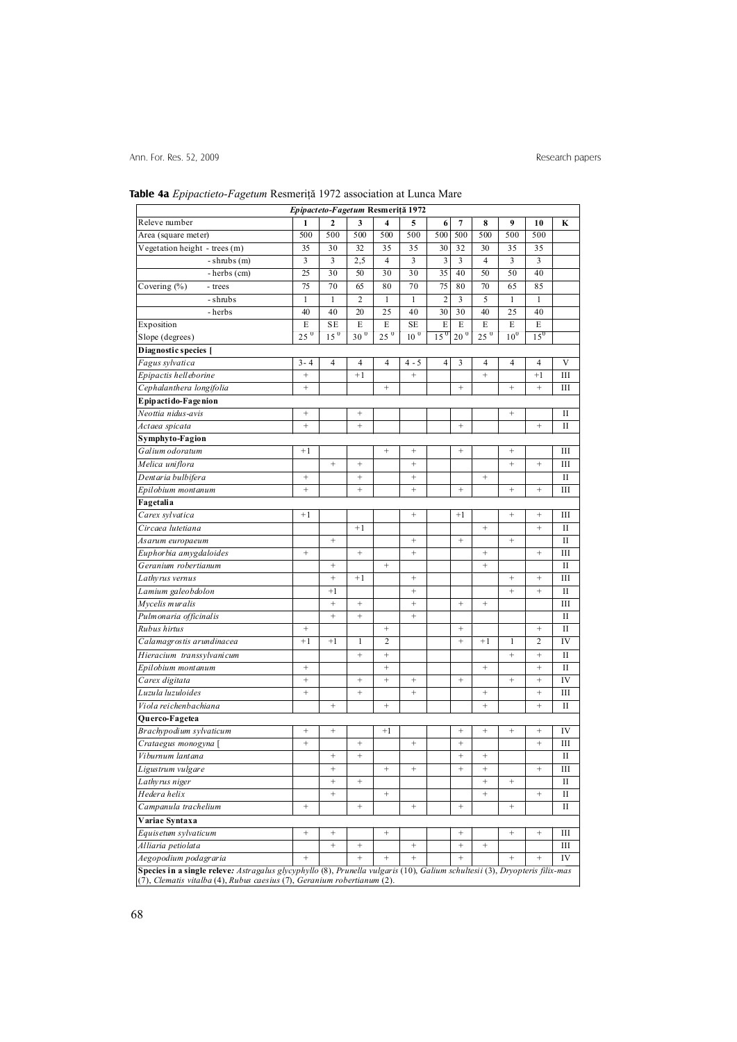# **Table 4a** *Epipactieto-Fagetum* Resmeriþã 1972 association at Lunca Mare

|                                                                                                                                                                                                        | Epipacteto-Fagetum Resmeriță 1972 |                   |                   |                         |                   |                 |                   |                   |                                  |                   |              |
|--------------------------------------------------------------------------------------------------------------------------------------------------------------------------------------------------------|-----------------------------------|-------------------|-------------------|-------------------------|-------------------|-----------------|-------------------|-------------------|----------------------------------|-------------------|--------------|
| Releve number                                                                                                                                                                                          | 1                                 | $\mathbf{2}$      | 3                 | $\overline{\mathbf{4}}$ | 5                 | 6               | $\overline{7}$    | 8                 | 9                                | 10                | K            |
| Area (square meter)                                                                                                                                                                                    | 500                               | 500               | 500               | 500                     | 500               | 500             | 500               | 500               | 500                              | 500               |              |
| Vegetation height - trees (m)                                                                                                                                                                          | 35                                | 30                | 32                | 35                      | 35                | 30              | 32                | 30                | 35                               | 35                |              |
| $-$ shrubs $(m)$                                                                                                                                                                                       | 3                                 | 3                 | 2,5               | $\overline{4}$          | 3                 | $\overline{3}$  | $\overline{3}$    | $\overline{4}$    | 3                                | 3                 |              |
| - herbs (cm)                                                                                                                                                                                           | 25                                | 30                | 50                | 30                      | 30                | 35              | 40                | 50                | 50                               | 40                |              |
| Covering $(\%)$<br>- trees                                                                                                                                                                             | 75                                | 70                | 65                | 80                      | 70                | 75              | 80                | 70                | 65                               | 85                |              |
| - shrubs                                                                                                                                                                                               | $\mathbf{1}$                      | $\mathbf{1}$      | $\overline{2}$    | $\mathbf{1}$            | $\mathbf{1}$      | $\overline{2}$  | 3                 | 5                 | $\mathbf{1}$                     | $\mathbf{1}$      |              |
| - herbs                                                                                                                                                                                                | 40                                | 40                | 20                | 25                      | 40                | 30              | 30                | 40                | 25                               | 40                |              |
| Exposition                                                                                                                                                                                             | E                                 | <b>SE</b>         | E                 | E                       | <b>SE</b>         | E               | E                 | E                 | E                                | E                 |              |
| Slope (degrees)                                                                                                                                                                                        | $25^{0}$                          | 15 <sup>0</sup>   | $30^{0}$          | $25^{\circ}$            | 10 <sup>0</sup>   | 15 <sup>0</sup> | $20^{\circ}$      | 25 <sup>0</sup>   | 10 <sup>0</sup>                  | 15 <sup>0</sup>   |              |
| Diagnostic species [                                                                                                                                                                                   |                                   |                   |                   |                         |                   |                 |                   |                   |                                  |                   |              |
| Fagus sylvatica                                                                                                                                                                                        | $3 - 4$                           | $\overline{4}$    | $\overline{4}$    | $\overline{4}$          | $4 - 5$           | $\overline{4}$  | 3                 | $\overline{4}$    | 4                                | $\overline{4}$    | $\mathbf V$  |
| Epipactis helleborine                                                                                                                                                                                  | $^{+}$                            |                   | $+1$              |                         | $^{+}$            |                 |                   | $+$               |                                  | $+1$              | Ш            |
| Cephalanthera longifolia                                                                                                                                                                               | $^{+}$                            |                   |                   | $^{+}$                  |                   |                 | $^{+}$            |                   | $^{+}$                           | $^{+}$            | Ш            |
| Epipactido-Fagenion                                                                                                                                                                                    |                                   |                   |                   |                         |                   |                 |                   |                   |                                  |                   |              |
| Neottia nidus-avis                                                                                                                                                                                     | $^{+}$                            |                   | $^{+}$            |                         |                   |                 |                   |                   | $\qquad \qquad +$                |                   | П            |
| Actaea spicata                                                                                                                                                                                         | $^{+}$                            |                   | $\qquad \qquad +$ |                         |                   |                 | $\qquad \qquad +$ |                   |                                  | $^{+}$            | П            |
| Symphyto-Fagion                                                                                                                                                                                        |                                   |                   |                   |                         |                   |                 |                   |                   |                                  |                   |              |
| Galium odoratum                                                                                                                                                                                        | $+1$                              |                   |                   | $^{+}$                  | $^{+}$            |                 | $\! + \!\!\!\!$   |                   | $\begin{array}{c} + \end{array}$ |                   | III          |
| Melica uniflora                                                                                                                                                                                        |                                   | $\qquad \qquad +$ | $^{+}$            |                         | $^{+}$            |                 |                   |                   | $^{+}$                           | $^{+}$            | Ш            |
| Dentaria bulbifera                                                                                                                                                                                     | $\! + \!\!\!\!$                   |                   | $^{+}$            |                         | $^{+}$            |                 |                   | $^{+}$            |                                  |                   | $\mathbf{I}$ |
| Epilobium montanum                                                                                                                                                                                     | $^{+}$                            |                   | $\ddot{}$         |                         | $\qquad \qquad +$ |                 | $^+$              |                   | $\qquad \qquad +$                | $^{+}$            | Ш            |
| Fagetalia                                                                                                                                                                                              |                                   |                   |                   |                         |                   |                 |                   |                   |                                  |                   |              |
| Carex sylvatica                                                                                                                                                                                        | $+1$                              |                   |                   |                         | $\! + \!\!\!\!$   |                 | $+1$              |                   | $\qquad \qquad +$                | $^{+}$            | Ш            |
| Circaea lutetiana                                                                                                                                                                                      |                                   |                   | $+1$              |                         |                   |                 |                   | $^{+}$            |                                  | $^{+}$            | П            |
| Asarum europaeum                                                                                                                                                                                       |                                   |                   |                   |                         | $\! + \!\!\!\!$   |                 | $^+$              |                   |                                  |                   | $\mathbf{I}$ |
| Euphorbia amygdaloides                                                                                                                                                                                 | $\qquad \qquad +$                 |                   | $^+$              |                         | $\qquad \qquad +$ |                 |                   | $\qquad \qquad +$ |                                  | $^{+}$            | Ш            |
| Geranium robertianum                                                                                                                                                                                   |                                   | $\qquad \qquad +$ |                   | $^{+}$                  |                   |                 |                   | $^{+}$            |                                  |                   | П            |
| Lathyrus vernus                                                                                                                                                                                        |                                   |                   | $+1$              |                         | $^{+}$            |                 |                   |                   |                                  | $^{+}$            | Ш            |
| Lamium galeobdolon                                                                                                                                                                                     |                                   | $+1$              |                   |                         | $^{+}$            |                 |                   |                   | $^{+}$                           | $^{+}$            | П            |
| Mycelis muralis                                                                                                                                                                                        |                                   | $\qquad \qquad +$ | $\! + \!\!\!\!$   |                         | $\qquad \qquad +$ |                 | $\qquad \qquad +$ | $\qquad \qquad +$ |                                  |                   | Ш            |
| Pulmonaria officinalis                                                                                                                                                                                 |                                   | $^{+}$            | $\ddot{}$         |                         | $^{+}$            |                 |                   |                   |                                  |                   | П            |
| Rubus hirtus                                                                                                                                                                                           | $\! + \!$                         |                   |                   |                         |                   |                 | $^+$              |                   |                                  | $^{+}$            | $_{\rm II}$  |
| Calamagrostis arundinacea                                                                                                                                                                              | $+1$                              | $+1$              | $\mathbf{1}$      | $\overline{2}$          |                   |                 | $+$               | $+1$              | 1                                | $\overline{c}$    | IV           |
| Hieracium transsylvanicum                                                                                                                                                                              |                                   |                   | $\ddot{}$         | $^{+}$                  |                   |                 |                   |                   | $^{+}$                           | $^{+}$            | П            |
|                                                                                                                                                                                                        | $^{+}$                            |                   |                   | $\qquad \qquad +$       |                   |                 |                   | $\qquad \qquad +$ |                                  | $^{+}$            | $_{\rm II}$  |
| Epilobium montanum                                                                                                                                                                                     | $\! + \!\!\!\!$                   |                   | $\! + \!\!\!\!$   | $^{+}$                  | $^{+}$            |                 | $\! + \!\!\!\!$   |                   | $\! + \!\!\!\!$                  | $^{+}$            | IV           |
| Carex digitata<br>Luzula luzuloides                                                                                                                                                                    | $^{+}$                            |                   | $^{+}$            |                         | $^{+}$            |                 |                   | $\qquad \qquad +$ |                                  | $^{+}$            | Ш            |
|                                                                                                                                                                                                        |                                   |                   |                   |                         |                   |                 |                   |                   |                                  |                   |              |
| Viola reichenbachiana                                                                                                                                                                                  |                                   | $\! + \!\!\!\!$   |                   | $\qquad \qquad +$       |                   |                 |                   | $\qquad \qquad +$ |                                  | $^{+}$            | H            |
| Querco-Fagetea                                                                                                                                                                                         | $\! + \!\!\!\!$                   |                   |                   | $+1$                    |                   |                 | $\qquad \qquad +$ | $^{+}$            | $\qquad \qquad +$                | $^{+}$            | IV           |
| Brachypodium sylvaticum                                                                                                                                                                                | $^{+}$                            |                   | $^{+}$            |                         | $^{+}$            |                 | $^{+}$            |                   |                                  | $^{+}$            | Ш            |
| Crataegus monogyna [                                                                                                                                                                                   |                                   |                   | $^{+}$            |                         |                   |                 | $^{+}$            |                   |                                  |                   | $\mathbf{I}$ |
| Viburnum lantana                                                                                                                                                                                       |                                   | $^{+}$            |                   |                         |                   |                 |                   | $^{+}$            |                                  |                   |              |
| Ligustrum vulgare                                                                                                                                                                                      |                                   |                   |                   | $^{+}$                  | $\! + \!$         |                 | $\! + \!\!\!\!$   | $^{+}$            |                                  | $\qquad \qquad +$ | Ш            |
| Lathyrus niger                                                                                                                                                                                         |                                   | $\qquad \qquad +$ | $\! + \!\!\!\!$   |                         |                   |                 |                   | $\qquad \qquad +$ | $\! + \!\!\!\!$                  |                   | П            |
| Hedera helix                                                                                                                                                                                           |                                   | $^+$              |                   | $^+$                    |                   |                 |                   | $\qquad \qquad +$ |                                  | $\qquad \qquad +$ | П            |
| Campanula trachelium                                                                                                                                                                                   | $^{+}$                            |                   | $^+$              |                         | $\! + \!$         |                 | $^+$              |                   | $^+$                             |                   | П            |
| Variae Syntaxa                                                                                                                                                                                         |                                   |                   |                   |                         |                   |                 |                   |                   |                                  |                   |              |
| Equisetum sylvaticum                                                                                                                                                                                   | $\! + \!\!\!\!$                   | $\! + \!\!\!\!$   |                   | $\! + \!\!\!\!$         |                   |                 | $\! + \!\!\!\!$   |                   | $\! + \!\!\!\!$                  | $^{+}$            | Ш            |
| Alliaria petiolata                                                                                                                                                                                     |                                   | $^+$              | $\qquad \qquad +$ |                         | $\qquad \qquad +$ |                 | $^+$              | $^+$              |                                  |                   | Ш            |
| Aegopodium podagraria                                                                                                                                                                                  | $\! + \!\!\!\!$                   |                   | $\! + \!\!\!\!$   | $^{+}$                  | $\! + \!\!\!\!$   |                 | $\! + \!\!\!\!$   |                   | $\qquad \qquad +$                | $^{+}$            | IV           |
| Species in a single releve: Astragalus glycyphyllo (8), Prunella vulgaris (10), Galium schultesii (3), Dryopteris filix-mas<br>(7), Clematis vitalba (4), Rubus caesius (7), Geranium robertianum (2). |                                   |                   |                   |                         |                   |                 |                   |                   |                                  |                   |              |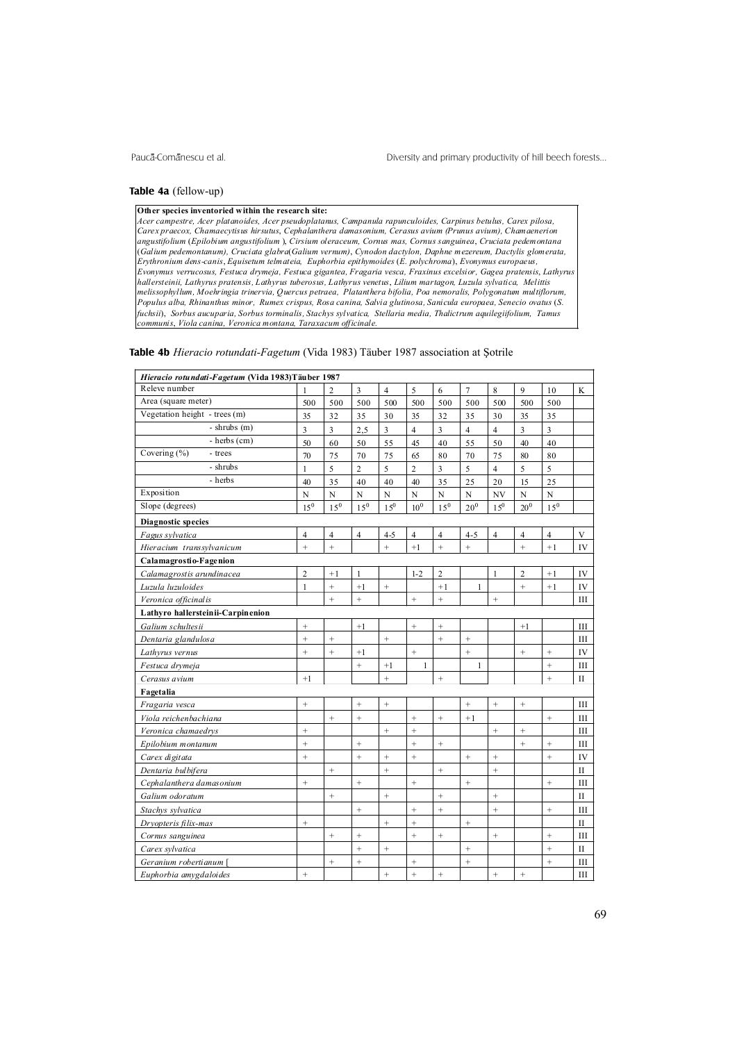#### **Table 4a** (fellow-up)

#### **Other species inventoried within the research site:**

*Acer campestre, Acer platanoides, Acer pseudoplatanus, Campanula rapunculoides, Carpinus betulus, Carex pilosa, Carex praecox, Chamaecytisus hirsutus*, *Cephalanthera damasonium, Cerasus avium (Prunus avium), Chamaenerion angustifolium* (*Epilobium angustifolium* ), *Cirsium oleraceum, Cornus mas, Cornus sanguinea*, *Cruciata pedemontana* (*Galium pedemontanum), Cruciata glabra*(*Galium vernum)*, *Cynodon dactylon, Daphne mezereum, Dactylis glomerata, Erythronium dens-canis*, *Equisetum telmateia, Euphorbia epithymoides* (*E. polychroma*), *Evonymus europaeus, Evonymus verrucosus, Festuca drymeja, Festuca gigantea, Fragaria vesca, Fraxinus excelsior, Gagea pratensis*, *Lathyrus hallersteinii, Lathyrus pratensis, Lathyrus tuberosus, Lathyrus venetus*, *Lilium martagon, Luzula sylvatica, Melittis melissophyllum, Moehringia trinervia, Quercus petraea, Platanthera bifolia, Poa nemoralis, Polygonatum multiflorum, Populus alba, Rhinanthus minor, Rumex crispus, Rosa canina, Salvia glutinosa, Sanicula europaea, Senecio ovatus* (*S. fuchsii*), *Sorbus aucuparia, Sorbus torminalis, Stachys sylvatica, Stellaria media, Thalictrum aquilegiifolium, Tamus communis*, *Viola canina, Veronica montana, Taraxacum officinale.*

#### **Table 4b** *Hieracio rotundati-Fagetum* (Vida 1983) Täuber 1987 association at Sotrile

| Hieracio rotundati-Fagetum (Vida 1983)Täuber 1987 |                   |                   |                   |                   |                   |                   |                   |                |                |                |              |
|---------------------------------------------------|-------------------|-------------------|-------------------|-------------------|-------------------|-------------------|-------------------|----------------|----------------|----------------|--------------|
| Releve number                                     |                   | 2                 | $\overline{3}$    | $\overline{4}$    | 5                 | 6                 | $\overline{7}$    | 8              | 9              | 10             | K            |
| Area (square meter)                               | 500               | 500               | 500               | 500               | 500               | 500               | 500               | 500            | 500            | 500            |              |
| Vegetation height - trees (m)                     | 35                | 32                | 35                | 30                | 35                | 32                | 35                | 30             | 35             | 35             |              |
| $-$ shrubs $(m)$                                  | 3                 | 3                 | 2,5               | $\overline{3}$    | $\overline{4}$    | $\overline{3}$    | $\overline{4}$    | $\overline{4}$ | $\overline{3}$ | 3              |              |
| $-$ herbs $(cm)$                                  | 50                | 60                | 50                | 55                | 45                | 40                | 55                | 50             | 40             | 40             |              |
| Covering (%)<br>- trees                           | 70                | 75                | 70                | 75                | 65                | 80                | 70                | 75             | 80             | 80             |              |
| - shrubs                                          | $\mathbf{1}$      | 5                 | $\overline{c}$    | 5                 | $\overline{c}$    | $\overline{3}$    | 5                 | $\overline{4}$ | 5              | 5              |              |
| - herbs                                           | 40                | 35                | 40                | 40                | 40                | 35                | 25                | 20             | 15             | 25             |              |
| Exposition                                        | N                 | $\mathbf N$       | $\mathbf N$       | N                 | N                 | $\mathbf N$       | $\mathbf N$       | NV             | $\mathbf N$    | N              |              |
| Slope (degrees)                                   | $15^{0}$          | $15^{0}$          | 15 <sup>0</sup>   | $1.5^{0}$         | $10^{\rm 0}$      | $15^0$            | $20^0\,$          | $1.5^{0}$      | $20^{0}$       | $15^0\,$       |              |
| Diagnostic species                                |                   |                   |                   |                   |                   |                   |                   |                |                |                |              |
| Fagus sylvatica                                   | $\overline{4}$    | $\overline{4}$    | $\overline{4}$    | $4 - 5$           | $\overline{4}$    | $\overline{4}$    | $4 - 5$           | $\overline{4}$ | 4              | $\overline{4}$ | V            |
| Hieracium transsylvanicum                         | $^{+}$            | $^{+}$            |                   | $^{+}$            | $+1$              | $\ddot{}$         | $^{+}$            |                | $^{+}$         | $+1$           | IV           |
| Calamagrostio-Fagenion                            |                   |                   |                   |                   |                   |                   |                   |                |                |                |              |
| Calamagrostis arundinacea                         | $\overline{2}$    | $+1$              | $\mathbf{1}$      |                   | $1 - 2$           | $\overline{c}$    |                   | $\mathbf{1}$   | $\overline{c}$ | $+1$           | IV           |
| Luzula luzuloides                                 | $\mathbf{1}$      | $^{+}$            | $+1$              | $^{+}$            |                   | $+1$              | $\mathbf{1}$      |                | $\ddot{}$      | $+1$           | IV           |
| Veronica officinalis                              |                   | $^{+}$            | $^{+}$            |                   | $^{+}$            | $^{+}$            |                   | $^{+}$         |                |                | Ш            |
| Lathyro hallersteinii-Carpinenion                 |                   |                   |                   |                   |                   |                   |                   |                |                |                |              |
| Galium schultesii                                 | $\qquad \qquad +$ |                   | $+1$              |                   | $\qquad \qquad +$ | $\qquad \qquad +$ |                   |                | $+1$           |                | Ш            |
| Dentaria glandulosa                               | $^+$              |                   |                   | $\qquad \qquad +$ |                   | $\qquad \qquad +$ | $\qquad \qquad +$ |                |                |                | Ш            |
| Lathyrus vernus                                   | $^{+}$            | $\qquad \qquad +$ | $+1$              |                   | $^{+}$            |                   | $^{+}$            |                | $^{+}$         | $^{+}$         | IV           |
| Festuca drymeja                                   |                   |                   | $\! + \!$         | $+1$              | $\mathbf{1}$      |                   | $\mathbf{1}$      |                |                | $^{+}$         | Ш            |
| Cerasus avium                                     | $+1$              |                   |                   | $\ddot{}$         |                   | $\ddot{}$         |                   |                |                | $\ddot{}$      | $\mathbf{I}$ |
| Fagetalia                                         |                   |                   |                   |                   |                   |                   |                   |                |                |                |              |
| Fragaria vesca                                    | $\ddot{}$         |                   | $\ddot{}$         | $^{+}$            |                   |                   | $\ddot{}$         | $\ddot{}$      | $^{+}$         |                | Ш            |
| Viola reichenbachiana                             |                   | $^{+}$            | $^{+}$            |                   | $\ddot{}$         | $^{+}$            | $+1$              |                |                | $^{+}$         | Ш            |
| Veronica chamaedrys                               | $^{+}$            |                   |                   | $^{+}$            | $^{+}$            |                   |                   | $^{+}$         | $^{+}$         |                | Ш            |
| Epilobium montanum                                | $\ddot{}$         |                   |                   |                   | $\ddot{}$         | $^{+}$            |                   |                | $\ddot{}$      | $^{+}$         | Ш            |
| Carex digitata                                    | $\ddot{}$         |                   | $\ddot{}$         | $^{+}$            | $\ddot{}$         |                   | $^{+}$            | $^{+}$         |                | $\ddot{}$      | IV           |
| Dentaria bul bifera                               |                   | $^+$              |                   | $^{+}$            |                   | $^{+}$            |                   | $^{+}$         |                |                | $_{\rm II}$  |
| Cephalanthera damasonium                          | $\qquad \qquad +$ |                   | $^{+}$            |                   | $^{+}$            |                   | $^{+}$            |                |                | $^{+}$         | Ш            |
| Galium odoratum                                   |                   | $^+$              |                   | $^{+}$            |                   | $^{+}$            |                   | $^{+}$         |                |                | $\mathbf{I}$ |
| Stachys sylvatica                                 |                   |                   | $^{+}$            |                   | $^{+}$            | $^{+}$            |                   | $^{+}$         |                | $^{+}$         | III          |
| Dryopteris filix-mas                              | $^+$              |                   |                   | $\qquad \qquad +$ | $^{+}$            |                   | $\qquad \qquad +$ |                |                |                | $_{\rm II}$  |
| Cornus sanguinea                                  |                   |                   | $\qquad \qquad +$ |                   | $^{+}$            | $\qquad \qquad +$ |                   | $^{+}$         |                | $^{+}$         | Ш            |
| Carex sylvatica                                   |                   |                   | $^{+}$            | $\qquad \qquad +$ |                   |                   | $\qquad \qquad +$ |                |                | $^{+}$         | $_{\rm II}$  |
| Geranium robertianum [                            |                   | $\qquad \qquad +$ | $^{+}$            |                   | $^{+}$            |                   | $+$               |                |                | $^{+}$         | Ш            |
| Euphorbia amygdaloides                            | $^{+}$            |                   |                   | $^{+}$            | $\ddot{}$         | $^{+}$            |                   | $^{+}$         | $^{+}$         |                | III          |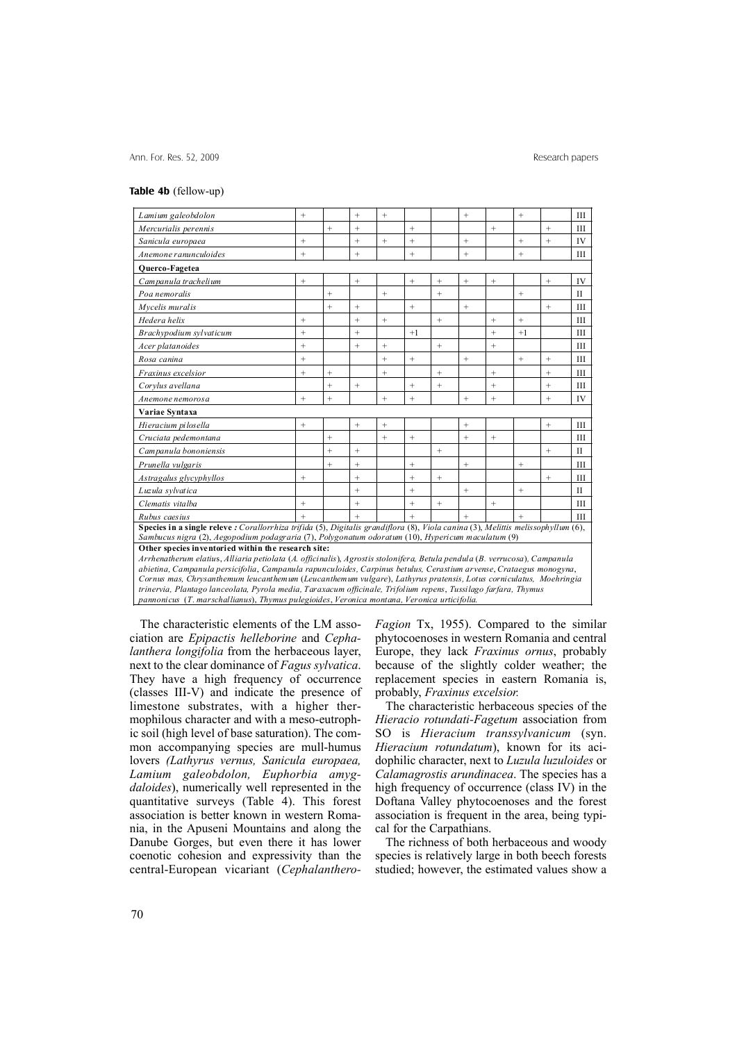### **Table 4b** (fellow-up)

| Lamium galeobdolon                                                                                                                                                                                                                                | $^{+}$ |           | $^{+}$          | $^{+}$ |                   |           | $+$               |           | $^{+}$    |        | Ш            |
|---------------------------------------------------------------------------------------------------------------------------------------------------------------------------------------------------------------------------------------------------|--------|-----------|-----------------|--------|-------------------|-----------|-------------------|-----------|-----------|--------|--------------|
| Mercurialis perennis                                                                                                                                                                                                                              |        | $^{+}$    | $+$             |        | $^{+}$            |           |                   | $\ddot{}$ |           | $^{+}$ | Ш            |
| Sanicula europaea                                                                                                                                                                                                                                 | $^{+}$ |           | $^{+}$          | $^{+}$ | $^{+}$            |           | $^{+}$            |           | $\ddot{}$ | $+$    | IV           |
| Anemone ranunculoides<br>$^{+}$<br>$^{+}$<br>$^{+}$<br>$^{+}$<br>Ш<br>$^{+}$                                                                                                                                                                      |        |           |                 |        |                   |           |                   |           |           |        |              |
| <b>Ouerco-Fagetea</b>                                                                                                                                                                                                                             |        |           |                 |        |                   |           |                   |           |           |        |              |
| Campanula trachelium                                                                                                                                                                                                                              | $^{+}$ |           | $^+$            |        | $^{+}$            | $^{+}$    | $\qquad \qquad +$ | $^{+}$    |           | $^{+}$ | IV           |
| Poa nemoralis                                                                                                                                                                                                                                     |        | $^{+}$    |                 | $^{+}$ |                   | $^{+}$    |                   |           | $^{+}$    |        | $\mathbf{I}$ |
| Mycelis muralis                                                                                                                                                                                                                                   |        | $^{+}$    | $^{+}$          |        | $^{+}$            |           | $\! +$            |           |           | $+$    | III          |
| Hedera helix                                                                                                                                                                                                                                      | $+$    |           | $^{+}$          | $+$    |                   | $+$       |                   | $+$       | $+$       |        | Ш            |
| Brachypodium sylvaticum                                                                                                                                                                                                                           | $^{+}$ |           | $+$             |        | $+1$              |           |                   | $+$       | $+1$      |        | Ш            |
| Acer platanoides                                                                                                                                                                                                                                  | $^{+}$ |           | $\! + \!\!\!\!$ | $^{+}$ |                   | $^{+}$    |                   | $\ddot{}$ |           |        | Ш            |
| Rosa canina                                                                                                                                                                                                                                       | $^{+}$ |           |                 | $+$    | $^{+}$            |           | $^{+}$            |           | $\ddot{}$ | $+$    | Ш            |
| Fraxinus excelsior                                                                                                                                                                                                                                | $^{+}$ | $^{+}$    |                 | $^{+}$ |                   | $^{+}$    |                   | $^{+}$    |           | $^{+}$ | Ш            |
| Corvlus avellana                                                                                                                                                                                                                                  |        | $^{+}$    | $^{+}$          |        | $^{+}$            | $\ddot{}$ |                   | $\ddot{}$ |           | $^{+}$ | Ш            |
| Anemone nemorosa                                                                                                                                                                                                                                  | $^{+}$ | $^{+}$    |                 | $^{+}$ | $+$               |           | $^{+}$            | $\ddot{}$ |           | $+$    | IV           |
| Variae Syntaxa                                                                                                                                                                                                                                    |        |           |                 |        |                   |           |                   |           |           |        |              |
| Hieracium pilosella                                                                                                                                                                                                                               | $^{+}$ |           | $^{+}$          | $^{+}$ |                   |           | $+$               |           |           | $^{+}$ | Ш            |
| Cruciata pedemontana                                                                                                                                                                                                                              |        | $^{+}$    |                 | $+$    | $^{+}$            |           | $+$               | $\ddot{}$ |           |        | Ш            |
| Campanula bononiensis                                                                                                                                                                                                                             |        | $\ddot{}$ | $^{+}$          |        |                   | $+$       |                   |           |           | $+$    | $\mathbf{I}$ |
| Prunella vulgaris                                                                                                                                                                                                                                 |        | $^{+}$    | $\! + \!\!\!\!$ |        | $\qquad \qquad +$ |           | $^{+}$            |           |           |        | Ш            |
| Astragalus glycyphyllos                                                                                                                                                                                                                           | $^{+}$ |           | $^{+}$          |        | $^{+}$            | $^{+}$    |                   |           |           | $^{+}$ | III          |
| Luzula sylvatica                                                                                                                                                                                                                                  |        |           | $^{+}$          |        | $^{+}$            |           | $+$               |           | $^{+}$    |        | H            |
| Clematis vitalba                                                                                                                                                                                                                                  | $+$    |           | $^{+}$          |        | $+$               | $+$       |                   | $^{+}$    |           |        | Ш            |
| Rubus caesius                                                                                                                                                                                                                                     | $^{+}$ |           | $+$             |        | $+$               |           | $+$               |           | $\ddot{}$ |        | Ш            |
| Species in a single releve : Corallorrhiza trifida $(5)$ , Digitalis grandiflora $(8)$ , Viola canina $(3)$ , Melittis melissophyllum $(6)$ ,                                                                                                     |        |           |                 |        |                   |           |                   |           |           |        |              |
| Sambucus nigra (2), Aegopodium podagraria (7), Polygonatum odoratum (10), Hypericum maculatum (9)                                                                                                                                                 |        |           |                 |        |                   |           |                   |           |           |        |              |
| Other species inventoried within the research site:                                                                                                                                                                                               |        |           |                 |        |                   |           |                   |           |           |        |              |
| Arrhenatherum elatius, Alliaria petiolata (A. officinalis), Agrostis stolonifera, Betula pendula (B. verrucosa), Campanula<br>abietina, Campanula persicifolia, Campanula rapunculoides, Carpinus betulus, Cerastium arvense, Crataegus monogyna, |        |           |                 |        |                   |           |                   |           |           |        |              |
| Cornus mas, Chrysanthemum leucanthemum (Leucanthemum vulgare), Lathyrus pratensis, Lotus corniculatus, Moehringia                                                                                                                                 |        |           |                 |        |                   |           |                   |           |           |        |              |

*trinervia, Plantago lanceolata, Pyrola media, Taraxacum officinale, Trifolium repens*, *Tussilago farfara, Thymus pannonicus* (*T. marschallianus*), *Thymus pulegioides*, *Veronica montana, Veronica urticifolia.*

The characteristic elements of the LM association are *Epipactis helleborine* and *Cephalanthera longifolia* from the herbaceous layer, next to the clear dominance of *Fagus sylvatica*. They have a high frequency of occurrence (classes III-V) and indicate the presence of limestone substrates, with a higher thermophilous character and with a meso-eutrophic soil (high level of base saturation). The common accompanying species are mull-humus lovers *(Lathyrus vernus, Sanicula europaea, Lamium galeobdolon, Euphorbia amygdaloides*), numerically well represented in the quantitative surveys (Table 4). This forest association is better known in western Romania, in the Apuseni Mountains and along the Danube Gorges, but even there it has lower coenotic cohesion and expressivity than the central-European vicariant (*Cephalanthero-* *Fagion* Tx, 1955). Compared to the similar phytocoenoses in western Romania and central Europe, they lack *Fraxinus ornus*, probably because of the slightly colder weather; the replacement species in eastern Romania is, probably, *Fraxinus excelsior.*

The characteristic herbaceous species of the *Hieracio rotundati-Fagetum* association from SO is *Hieracium transsylvanicum* (syn. *Hieracium rotundatum*), known for its acidophilic character, next to *Luzula luzuloides* or *Calamagrostis arundinacea*. The species has a high frequency of occurrence (class IV) in the Doftana Valley phytocoenoses and the forest association is frequent in the area, being typical for the Carpathians.

The richness of both herbaceous and woody species is relatively large in both beech forests studied; however, the estimated values show a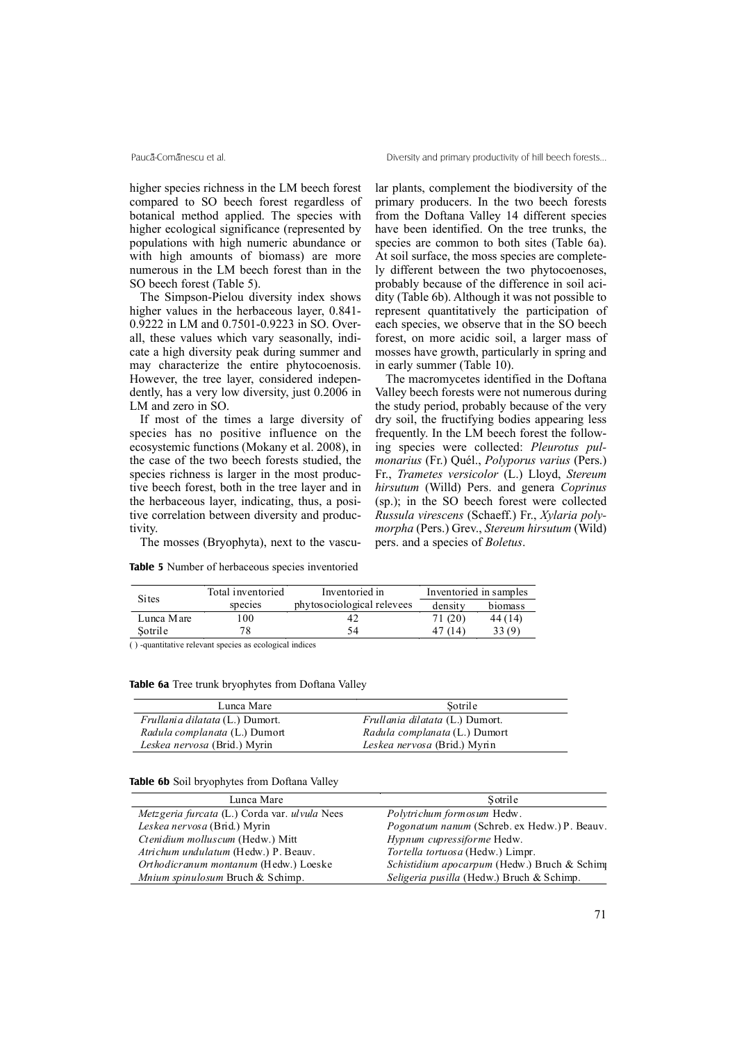higher species richness in the LM beech forest compared to SO beech forest regardless of botanical method applied. The species with higher ecological significance (represented by populations with high numeric abundance or with high amounts of biomass) are more numerous in the LM beech forest than in the SO beech forest (Table 5).

The Simpson-Pielou diversity index shows higher values in the herbaceous layer, 0.841- 0.9222 in LM and 0.7501-0.9223 in SO. Overall, these values which vary seasonally, indicate a high diversity peak during summer and may characterize the entire phytocoenosis. However, the tree layer, considered independently, has a very low diversity, just 0.2006 in LM and zero in SO.

If most of the times a large diversity of species has no positive influence on the ecosystemic functions (Mokany et al. 2008), in the case of the two beech forests studied, the species richness is larger in the most productive beech forest, both in the tree layer and in the herbaceous layer, indicating, thus, a positive correlation between diversity and productivity.

The mosses (Bryophyta), next to the vascu-

|  |  |  | <b>Table 5</b> Number of herbaceous species inventoried |  |
|--|--|--|---------------------------------------------------------|--|
|  |  |  |                                                         |  |

lar plants, complement the biodiversity of the primary producers. In the two beech forests from the Doftana Valley 14 different species have been identified. On the tree trunks, the species are common to both sites (Table 6a). At soil surface, the moss species are completely different between the two phytocoenoses, probably because of the difference in soil acidity (Table 6b). Although it was not possible to represent quantitatively the participation of each species, we observe that in the SO beech forest, on more acidic soil, a larger mass of mosses have growth, particularly in spring and in early summer (Table 10).

The macromycetes identified in the Doftana Valley beech forests were not numerous during the study period, probably because of the very dry soil, the fructifying bodies appearing less frequently. In the LM beech forest the following species were collected: *Pleurotus pulmonarius* (Fr.) Quél., *Polyporus varius* (Pers.) Fr., *Trametes versicolor* (L.) Lloyd, *Stereum hirsutum* (Willd) Pers. and genera *Coprinus* (sp.); in the SO beech forest were collected *Russula virescens* (Schaeff.) Fr., *Xylaria polymorpha* (Pers.) Grev., *Stereum hirsutum* (Wild) pers. and a species of *Boletus*.

|                         | Total inventoried | Inventoried in             |         | Inventoried in samples |
|-------------------------|-------------------|----------------------------|---------|------------------------|
| <b>Sites</b><br>species |                   | phytosociological relevees | density | biomass                |
| Lunca Mare              | ' 00-             | 42                         | 71 (20) | 44 (14)                |
| Sotrile                 |                   | 54                         | (14     | 33 (Q)                 |

( ) -quantitative relevant species as ecological indices

**Table 6a** Tree trunk bryophytes from Doftana Valley

| Lunca Mare                             | Sotrile                                |
|----------------------------------------|----------------------------------------|
| <i>Frullania dilatata</i> (L.) Dumort. | <i>Frullania dilatata</i> (L.) Dumort. |
| Radula complanata (L.) Dumort          | Radula complanata (L.) Dumort          |
| Leskea nervosa (Brid.) Myrin           | Leskea nervosa (Brid.) Myrin           |

|  |  | Table 6b Soil bryophytes from Doftana Valley |  |  |  |
|--|--|----------------------------------------------|--|--|--|
|--|--|----------------------------------------------|--|--|--|

| Lunca Mare                                                   | Sotrile                                             |
|--------------------------------------------------------------|-----------------------------------------------------|
| <i>Metzgeria furcata</i> (L.) Corda var. <i>ul vula</i> Nees | Polytrichum formosum Hedw.                          |
| Leskea nervosa (Brid.) Myrin                                 | <i>Pogonatum nanum</i> (Schreb. ex Hedw.) P. Beauv. |
| Ctenidium molluscum (Hedw.) Mitt                             | Hypnum cupressiforme Hedw.                          |
| Atrichum undulatum (Hedw.) P. Beauv.                         | Tortella tortuosa (Hedw.) Limpr.                    |
| Orthodicranum montanum (Hedw.) Loeske                        | Schistidium apocarpum (Hedw.) Bruch & Schim         |
| Mnium spinulosum Bruch & Schimp.                             | Seligeria pusilla (Hedw.) Bruch & Schimp.           |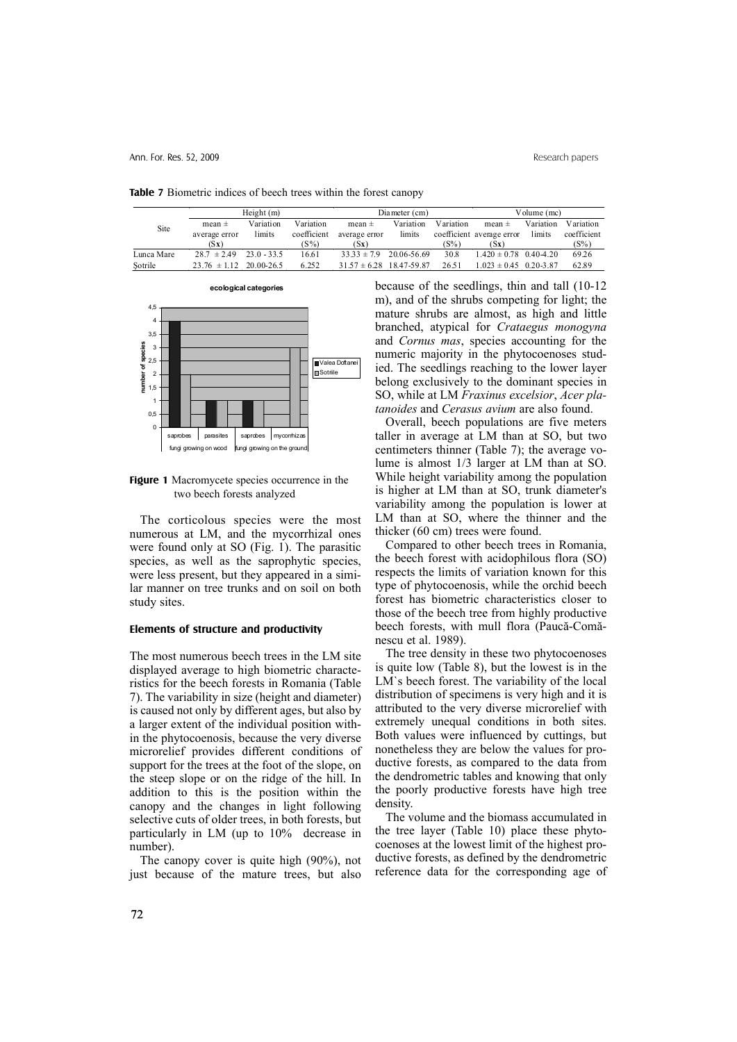|            | Height(m)        |               |             | Diameter (cm)                |             |           | Volume $(mc)$              |           |             |
|------------|------------------|---------------|-------------|------------------------------|-------------|-----------|----------------------------|-----------|-------------|
| Site       | mean $\pm$       | Variation     | Variation   | mean $\pm$                   | Variation   | Variation | mean $\pm$                 | Variation | Variation   |
|            | average error    | limits        | coefficient | average error                | limits      |           | coefficient average error  | limits    | coefficient |
|            | (Sx)             |               | $(S\%)$     | (Sx)                         |             | $(S\%)$   | (Sx)                       |           | $(S\%)$     |
| Lunca Mare | $28.7 \pm 2.49$  | $23.0 - 33.5$ | 16.61       | $33.33 \pm 7.9$              | 20.06-56.69 | 30.8      | $1.420 \pm 0.78$ 0.40-4.20 |           | 69.26       |
| Sotrile    | $23.76 \pm 1.12$ | 20.00-26.5    | 6.252       | $31.57 \pm 6.28$ 18.47-59.87 |             | 26.51     | $1.023 \pm 0.45$ 0.20-3.87 |           | 62.89       |

**Table 7** Biometric indices of beech trees within the forest canopy



**Figure 1** Macromycete species occurrence in the two beech forests analyzed

The corticolous species were the most numerous at LM, and the mycorrhizal ones were found only at SO (Fig. 1). The parasitic species, as well as the saprophytic species, were less present, but they appeared in a similar manner on tree trunks and on soil on both study sites.

#### **Elements of structure and productivity**

The most numerous beech trees in the LM site displayed average to high biometric characteristics for the beech forests in Romania (Table 7). The variability in size (height and diameter) is caused not only by different ages, but also by a larger extent of the individual position within the phytocoenosis, because the very diverse microrelief provides different conditions of support for the trees at the foot of the slope, on the steep slope or on the ridge of the hill. In addition to this is the position within the canopy and the changes in light following selective cuts of older trees, in both forests, but particularly in LM (up to 10% decrease in number).

The canopy cover is quite high (90%), not just because of the mature trees, but also because of the seedlings, thin and tall (10-12 m), and of the shrubs competing for light; the mature shrubs are almost, as high and little branched, atypical for *Crataegus monogyna* and *Cornus mas*, species accounting for the numeric majority in the phytocoenoses studied. The seedlings reaching to the lower layer belong exclusively to the dominant species in SO, while at LM *Fraxinus excelsior*, *Acer platanoides* and *Cerasus avium* are also found.

Overall, beech populations are five meters taller in average at LM than at SO, but two centimeters thinner (Table 7); the average volume is almost 1/3 larger at LM than at SO. While height variability among the population is higher at LM than at SO, trunk diameter's variability among the population is lower at LM than at SO, where the thinner and the thicker (60 cm) trees were found.

Compared to other beech trees in Romania, the beech forest with acidophilous flora (SO) respects the limits of variation known for this type of phytocoenosis, while the orchid beech forest has biometric characteristics closer to those of the beech tree from highly productive beech forests, with mull flora (Paucã-Comãnescu et al. 1989).

The tree density in these two phytocoenoses is quite low (Table 8), but the lowest is in the LM`s beech forest. The variability of the local distribution of specimens is very high and it is attributed to the very diverse microrelief with extremely unequal conditions in both sites. Both values were influenced by cuttings, but nonetheless they are below the values for productive forests, as compared to the data from the dendrometric tables and knowing that only the poorly productive forests have high tree density.

The volume and the biomass accumulated in the tree layer (Table 10) place these phytocoenoses at the lowest limit of the highest productive forests, as defined by the dendrometric reference data for the corresponding age of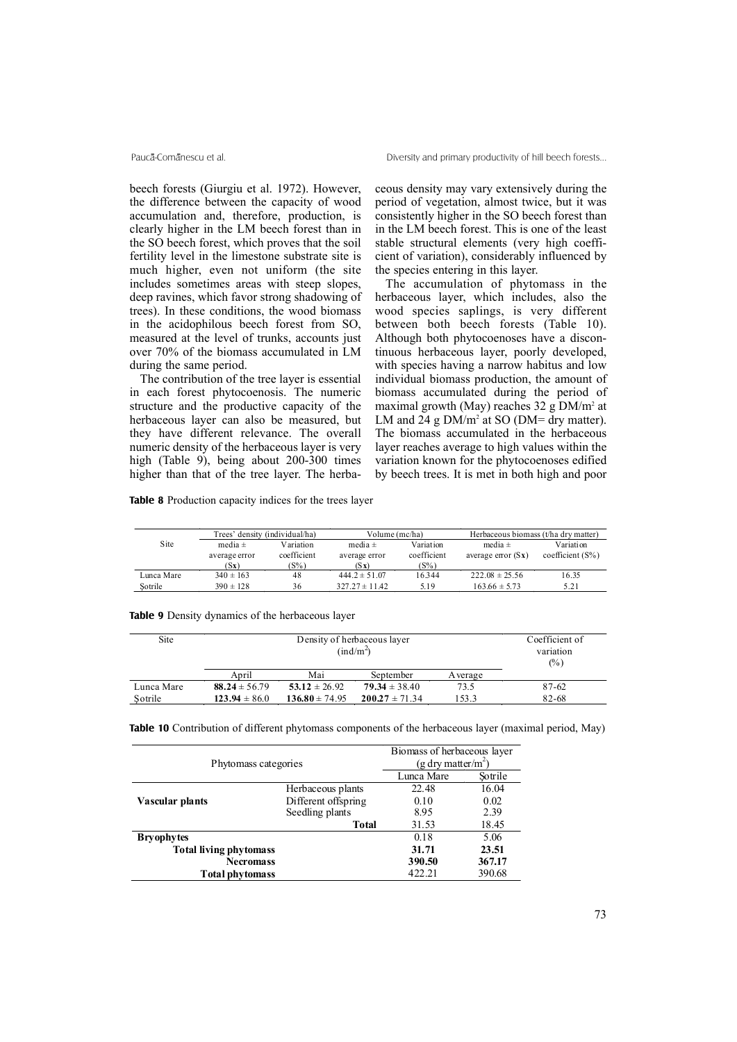beech forests (Giurgiu et al. 1972). However, the difference between the capacity of wood accumulation and, therefore, production, is clearly higher in the LM beech forest than in the SO beech forest, which proves that the soil fertility level in the limestone substrate site is much higher, even not uniform (the site includes sometimes areas with steep slopes, deep ravines, which favor strong shadowing of trees). In these conditions, the wood biomass in the acidophilous beech forest from SO, measured at the level of trunks, accounts just over 70% of the biomass accumulated in LM during the same period.

The contribution of the tree layer is essential in each forest phytocoenosis. The numeric structure and the productive capacity of the herbaceous layer can also be measured, but they have different relevance. The overall numeric density of the herbaceous layer is very high (Table 9), being about 200-300 times higher than that of the tree layer. The herbaceous density may vary extensively during the period of vegetation, almost twice, but it was consistently higher in the SO beech forest than in the LM beech forest. This is one of the least stable structural elements (very high coefficient of variation), considerably influenced by the species entering in this layer.

The accumulation of phytomass in the herbaceous layer, which includes, also the wood species saplings, is very different between both beech forests (Table 10). Although both phytocoenoses have a discontinuous herbaceous layer, poorly developed, with species having a narrow habitus and low individual biomass production, the amount of biomass accumulated during the period of maximal growth (May) reaches  $32$  g DM/m<sup>2</sup> at LM and 24 g  $DM/m^2$  at SO ( $DM=$  dry matter). The biomass accumulated in the herbaceous layer reaches average to high values within the variation known for the phytocoenoses edified by beech trees. It is met in both high and poor

**Table 8** Production capacity indices for the trees layer

|            | Trees' density (individual/ha) |             | Volume (mc/ha)     |             | Herbaceous biomass (t/ha dry matter) |                     |  |
|------------|--------------------------------|-------------|--------------------|-------------|--------------------------------------|---------------------|--|
| Site       | media $\pm$                    | Variation   | media $\pm$        | Variation   | media $\pm$                          | Variation           |  |
|            | average error                  | coefficient | average error      | coefficient | average error $(Sx)$                 | coefficient $(S\%)$ |  |
|            | (Sx)                           | (S%)        | (Sx)               | $(S\%)$     |                                      |                     |  |
| Lunca Mare | $340 \pm 163$                  | 48          | $444.2 \pm 51.07$  | 16.344      | $222.08 \pm 25.56$                   | 16.35               |  |
| Sotrile    | $390 \pm 128$                  | 36          | $327.27 \pm 11.42$ | 5.19        | $163.66 \pm 5.73$                    | 5.21                |  |

**Table 9** Density dynamics of the herbaceous layer

| Site       |                   | Coefficient of<br>variation<br>(%) |                    |         |           |
|------------|-------------------|------------------------------------|--------------------|---------|-----------|
|            | April             | Mai                                | September          | Average |           |
| Lunca Mare | $88.24 \pm 56.79$ | $53.12 \pm 26.92$                  | $79.34 \pm 38.40$  | 73.5    | $87 - 62$ |
| Sotrile    | $123.94 \pm 86.0$ | $136.80 \pm 74.95$                 | $200.27 \pm 71.34$ | 153.3   | 82-68     |

**Table 10** Contribution of different phytomass components of the herbaceous layer (maximal period, May)

| Phytomass categories          | Biomass of herbaceous layer<br>(g dry matter/m <sup>2</sup> )<br>Lunca Mare<br>Sotrile |        |        |  |
|-------------------------------|----------------------------------------------------------------------------------------|--------|--------|--|
|                               | Herbaceous plants                                                                      | 22.48  | 16.04  |  |
| Vascular plants               | Different offspring                                                                    | 0.10   | 0.02   |  |
|                               | Seedling plants                                                                        | 8.95   | 2.39   |  |
|                               | <b>Total</b>                                                                           | 31.53  | 18.45  |  |
| <b>Bryophytes</b>             |                                                                                        | 0.18   | 5.06   |  |
| <b>Total living phytomass</b> |                                                                                        | 31.71  | 23.51  |  |
| <b>Necromass</b>              |                                                                                        | 390.50 | 367.17 |  |
| Total phytomass               |                                                                                        | 422.21 | 390.68 |  |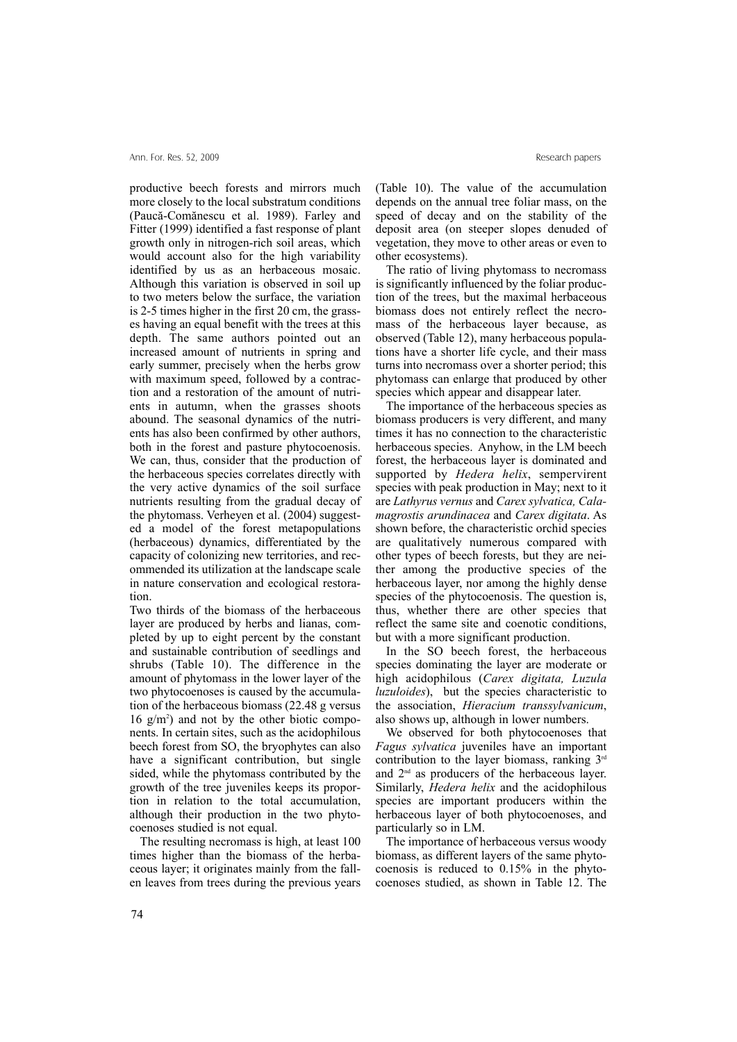productive beech forests and mirrors much more closely to the local substratum conditions (Paucã-Comãnescu et al. 1989). Farley and Fitter (1999) identified a fast response of plant growth only in nitrogen-rich soil areas, which would account also for the high variability identified by us as an herbaceous mosaic. Although this variation is observed in soil up to two meters below the surface, the variation is 2-5 times higher in the first 20 cm, the grasses having an equal benefit with the trees at this depth. The same authors pointed out an increased amount of nutrients in spring and early summer, precisely when the herbs grow with maximum speed, followed by a contraction and a restoration of the amount of nutrients in autumn, when the grasses shoots abound. The seasonal dynamics of the nutrients has also been confirmed by other authors, both in the forest and pasture phytocoenosis. We can, thus, consider that the production of the herbaceous species correlates directly with the very active dynamics of the soil surface nutrients resulting from the gradual decay of the phytomass. Verheyen et al. (2004) suggested a model of the forest metapopulations (herbaceous) dynamics, differentiated by the capacity of colonizing new territories, and recommended its utilization at the landscape scale in nature conservation and ecological restoration.

Two thirds of the biomass of the herbaceous layer are produced by herbs and lianas, completed by up to eight percent by the constant and sustainable contribution of seedlings and shrubs (Table 10). The difference in the amount of phytomass in the lower layer of the two phytocoenoses is caused by the accumulation of the herbaceous biomass (22.48 g versus 16 g/m2 ) and not by the other biotic components. In certain sites, such as the acidophilous beech forest from SO, the bryophytes can also have a significant contribution, but single sided, while the phytomass contributed by the growth of the tree juveniles keeps its proportion in relation to the total accumulation, although their production in the two phytocoenoses studied is not equal.

The resulting necromass is high, at least 100 times higher than the biomass of the herbaceous layer; it originates mainly from the fallen leaves from trees during the previous years (Table 10). The value of the accumulation depends on the annual tree foliar mass, on the speed of decay and on the stability of the deposit area (on steeper slopes denuded of vegetation, they move to other areas or even to other ecosystems).

The ratio of living phytomass to necromass is significantly influenced by the foliar production of the trees, but the maximal herbaceous biomass does not entirely reflect the necromass of the herbaceous layer because, as observed (Table 12), many herbaceous populations have a shorter life cycle, and their mass turns into necromass over a shorter period; this phytomass can enlarge that produced by other species which appear and disappear later.

The importance of the herbaceous species as biomass producers is very different, and many times it has no connection to the characteristic herbaceous species. Anyhow, in the LM beech forest, the herbaceous layer is dominated and supported by *Hedera helix*, sempervirent species with peak production in May; next to it are *Lathyrus vernus* and *Carex sylvatica, Calamagrostis arundinacea* and *Carex digitata*. As shown before, the characteristic orchid species are qualitatively numerous compared with other types of beech forests, but they are neither among the productive species of the herbaceous layer, nor among the highly dense species of the phytocoenosis. The question is, thus, whether there are other species that reflect the same site and coenotic conditions, but with a more significant production.

In the SO beech forest, the herbaceous species dominating the layer are moderate or high acidophilous (*Carex digitata, Luzula luzuloides*), but the species characteristic to the association, *Hieracium transsylvanicum*, also shows up, although in lower numbers.

We observed for both phytocoenoses that *Fagus sylvatica* juveniles have an important contribution to the layer biomass, ranking  $3<sup>rd</sup>$ and  $2<sup>nd</sup>$  as producers of the herbaceous layer. Similarly, *Hedera helix* and the acidophilous species are important producers within the herbaceous layer of both phytocoenoses, and particularly so in LM.

The importance of herbaceous versus woody biomass, as different layers of the same phytocoenosis is reduced to 0.15% in the phytocoenoses studied, as shown in Table 12. The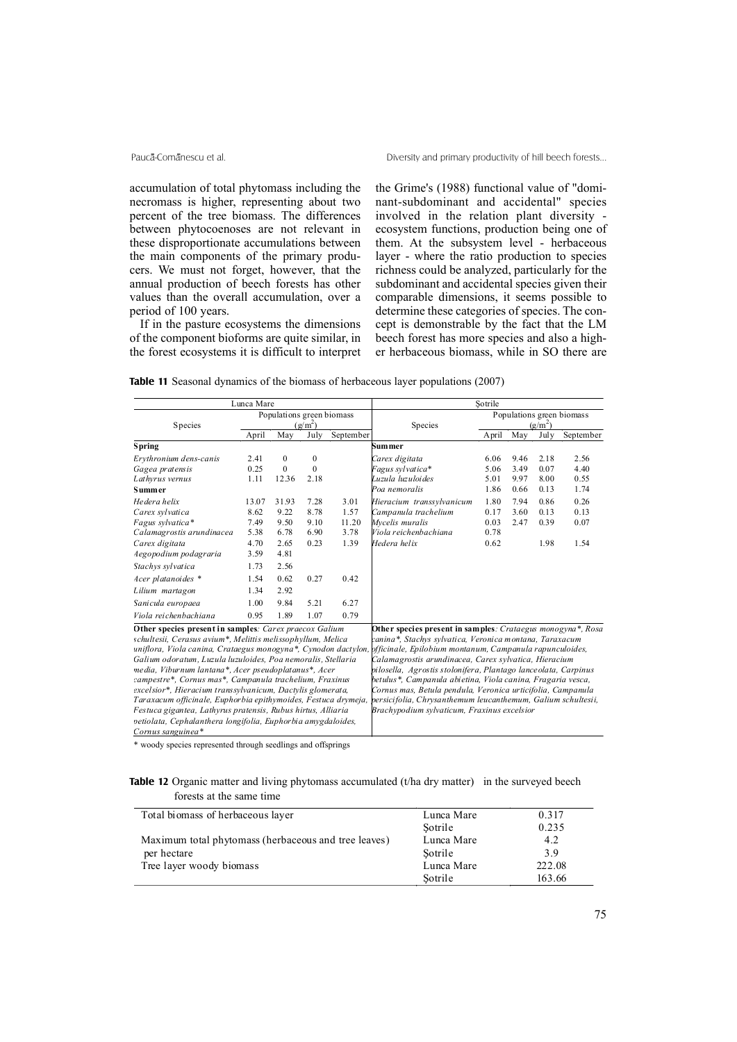accumulation of total phytomass including the necromass is higher, representing about two percent of the tree biomass. The differences between phytocoenoses are not relevant in these disproportionate accumulations between the main components of the primary producers. We must not forget, however, that the annual production of beech forests has other values than the overall accumulation, over a period of 100 years.

If in the pasture ecosystems the dimensions of the component bioforms are quite similar, in the forest ecosystems it is difficult to interpret the Grime's (1988) functional value of "dominant-subdominant and accidental" species involved in the relation plant diversity ecosystem functions, production being one of them. At the subsystem level - herbaceous layer - where the ratio production to species richness could be analyzed, particularly for the subdominant and accidental species given their comparable dimensions, it seems possible to determine these categories of species. The concept is demonstrable by the fact that the LM beech forest has more species and also a higher herbaceous biomass, while in SO there are

**Table 11** Seasonal dynamics of the biomass of herbaceous layer populations (2007)

| Lunca Mare                                                     |                                        |              |                  | Sotrile                                                        |                                                                                                                         |                                        |      |      |           |
|----------------------------------------------------------------|----------------------------------------|--------------|------------------|----------------------------------------------------------------|-------------------------------------------------------------------------------------------------------------------------|----------------------------------------|------|------|-----------|
| Species                                                        | Populations green biomass<br>$(g/m^2)$ |              |                  |                                                                | Species                                                                                                                 | Populations green biomass<br>$(g/m^2)$ |      |      |           |
|                                                                | April                                  | May          | July             | September                                                      |                                                                                                                         | April                                  | May  | July | September |
| Spring                                                         |                                        |              |                  |                                                                | <b>Summer</b>                                                                                                           |                                        |      |      |           |
| Erythronium dens-canis                                         | 2.41                                   | $\mathbf{0}$ | $\boldsymbol{0}$ |                                                                | Carex digitata                                                                                                          | 6.06                                   | 9.46 | 2.18 | 2.56      |
| Gagea pratensis                                                | 0.25                                   | $\mathbf{0}$ | $\mathbf{0}$     |                                                                | Fagus sylvatica*                                                                                                        | 5.06                                   | 3.49 | 0.07 | 4.40      |
| Lathyrus vernus                                                | 1.11                                   | 12.36        | 2.18             |                                                                | Luzula luzuloides                                                                                                       | 5.01                                   | 9.97 | 8.00 | 0.55      |
| Summer                                                         |                                        |              |                  |                                                                | Poa nemoralis                                                                                                           | 1.86                                   | 0.66 | 0.13 | 1.74      |
| He der a helix                                                 | 13.07                                  | 31.93        | 7.28             | 3.01                                                           | Hieracium transsylvanicum                                                                                               | 1.80                                   | 7.94 | 0.86 | 0.26      |
| Carex sylvatica                                                | 8.62                                   | 9.22         | 8.78             | 1.57                                                           | Campanula trachelium                                                                                                    | 0.17                                   | 3.60 | 0.13 | 0.13      |
| Fagus sylvatica*                                               | 7.49                                   | 9.50         | 9.10             | 11.20                                                          | Mycelis muralis                                                                                                         | 0.03                                   | 2.47 | 0.39 | 0.07      |
| Calamagrostis arundinacea                                      | 5.38                                   | 6.78         | 6.90             | 3.78                                                           | Viola reichenbachiana                                                                                                   | 0.78                                   |      |      |           |
| Carex digitata                                                 | 4.70                                   | 2.65         | 0.23             | 1.39                                                           | Hedera helix                                                                                                            | 0.62                                   |      | 1.98 | 1.54      |
| Aegopodium podagraria                                          | 3.59                                   | 4.81         |                  |                                                                |                                                                                                                         |                                        |      |      |           |
| Stachys sylvatica                                              | 1.73                                   | 2.56         |                  |                                                                |                                                                                                                         |                                        |      |      |           |
| Acer platanoides *                                             | 1.54                                   | 0.62         | 0.27             | 0.42                                                           |                                                                                                                         |                                        |      |      |           |
| Lilium martagon                                                | 1.34                                   | 2.92         |                  |                                                                |                                                                                                                         |                                        |      |      |           |
| Sanicula europaea                                              | 1.00                                   | 9.84         | 5.21             | 6.27                                                           |                                                                                                                         |                                        |      |      |           |
| Viola reichenbachiana                                          | 0.95                                   | 1.89         | 1.07             | 0.79                                                           |                                                                                                                         |                                        |      |      |           |
| Other species present in samples: Carex praecox Galium         |                                        |              |                  |                                                                | Other species present in samples: Crataegus monogyna*, Rosa                                                             |                                        |      |      |           |
| schultesii, Cerasus avium*, Melittis melissophyllum, Melica    |                                        |              |                  |                                                                | canina*, Stachys sylvatica, Veronica montana, Taraxacum                                                                 |                                        |      |      |           |
|                                                                |                                        |              |                  |                                                                | uniflora, Viola canina, Crataegus monogyna*, Cynodon dactylon, officinale, Epilobium montanum, Campanula rapunculoides, |                                        |      |      |           |
| Galium odoratum, Luzula luzuloides, Poa nemoralis, Stellaria   |                                        |              |                  |                                                                | Calamagrostis arundinacea, Carex sylvatica, Hieracium                                                                   |                                        |      |      |           |
| media, Viburnum lantana*, Acer pseudoplatanus*, Acer           |                                        |              |                  | pilosella, Agrostis stolonifera, Plantago lanceolata, Carpinus |                                                                                                                         |                                        |      |      |           |
| campestre*, Cornus mas*, Campanula trachelium, Fraxinus        |                                        |              |                  | betulus*, Campanula abietina, Viola canina, Fragaria vesca,    |                                                                                                                         |                                        |      |      |           |
| excelsior*, Hieracium transsylvanicum, Dactylis glomerata,     |                                        |              |                  | Cornus mas, Betula pendula, Veronica urticifolia, Campanula    |                                                                                                                         |                                        |      |      |           |
| Taraxacum officinale, Euphorbia epithymoides, Festuca drymeja, |                                        |              |                  | persicifolia, Chrysanthemum leucanthemum, Galium schultesii,   |                                                                                                                         |                                        |      |      |           |
| Festuca gigantea, Lathyrus pratensis, Rubus hirtus, Alliaria   |                                        |              |                  | Brachypodium sylvaticum, Fraxinus excelsior                    |                                                                                                                         |                                        |      |      |           |
| petiolata, Cephalanthera longifolia, Euphorbia amygdaloides,   |                                        |              |                  |                                                                |                                                                                                                         |                                        |      |      |           |
| Cornus sanguinea*                                              |                                        |              |                  |                                                                |                                                                                                                         |                                        |      |      |           |

\* woody species represented through seedlings and offsprings

### **Table 12** Organic matter and living phytomass accumulated (t/ha dry matter) in the surveyed beech forests at the same time

| Total biomass of herbaceous layer                    | Lunca Mare | 0.317  |
|------------------------------------------------------|------------|--------|
|                                                      | Sotrile    | 0.235  |
| Maximum total phytomass (herbaceous and tree leaves) | Lunca Mare | 4.2    |
| per hectare                                          | Sotrile    | 3.9    |
| Tree layer woody biomass                             | Lunca Mare | 222.08 |
|                                                      | Sotrile    | 163.66 |